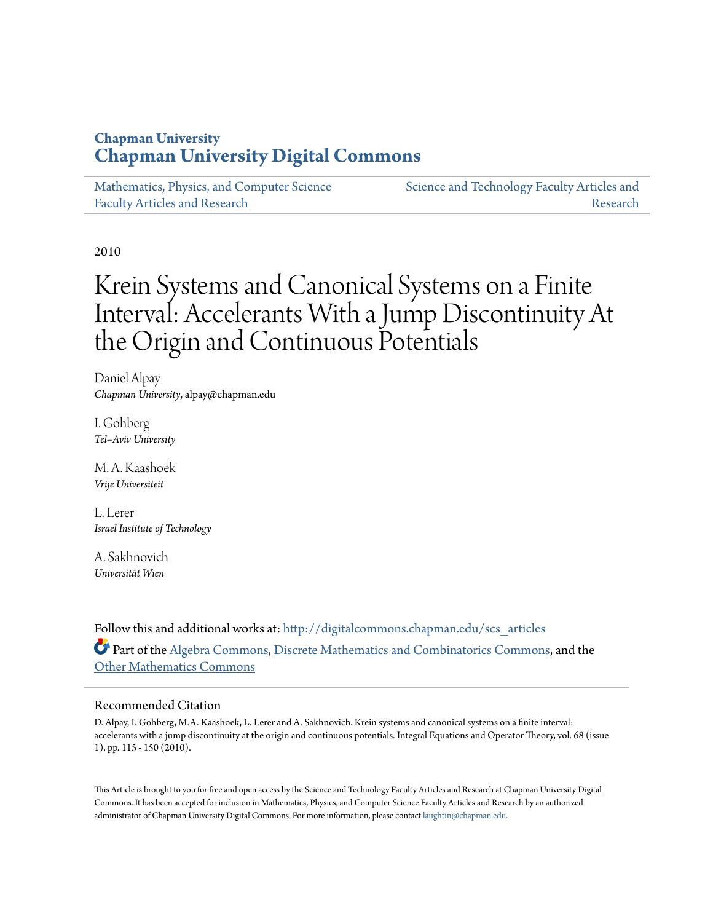### **Chapman University [Chapman University Digital Commons](http://digitalcommons.chapman.edu?utm_source=digitalcommons.chapman.edu%2Fscs_articles%2F425&utm_medium=PDF&utm_campaign=PDFCoverPages)**

[Mathematics, Physics, and Computer Science](http://digitalcommons.chapman.edu/scs_articles?utm_source=digitalcommons.chapman.edu%2Fscs_articles%2F425&utm_medium=PDF&utm_campaign=PDFCoverPages) [Faculty Articles and Research](http://digitalcommons.chapman.edu/scs_articles?utm_source=digitalcommons.chapman.edu%2Fscs_articles%2F425&utm_medium=PDF&utm_campaign=PDFCoverPages)

[Science and Technology Faculty Articles and](http://digitalcommons.chapman.edu/science_articles?utm_source=digitalcommons.chapman.edu%2Fscs_articles%2F425&utm_medium=PDF&utm_campaign=PDFCoverPages) [Research](http://digitalcommons.chapman.edu/science_articles?utm_source=digitalcommons.chapman.edu%2Fscs_articles%2F425&utm_medium=PDF&utm_campaign=PDFCoverPages)

2010

# Krein Systems and Canonical Systems on a Finite Interval: Accelerants With a Jump Discontinuity At the Origin and Continuous Potentials

Daniel Alpay *Chapman University*, alpay@chapman.edu

I. Gohberg *Tel–Aviv University*

M. A. Kaashoek *Vrije Universiteit*

L. Lerer *Israel Institute of Technology*

A. Sakhnovich *Universität Wien*

Follow this and additional works at: [http://digitalcommons.chapman.edu/scs\\_articles](http://digitalcommons.chapman.edu/scs_articles?utm_source=digitalcommons.chapman.edu%2Fscs_articles%2F425&utm_medium=PDF&utm_campaign=PDFCoverPages) Part of the [Algebra Commons,](http://network.bepress.com/hgg/discipline/175?utm_source=digitalcommons.chapman.edu%2Fscs_articles%2F425&utm_medium=PDF&utm_campaign=PDFCoverPages) [Discrete Mathematics and Combinatorics Commons](http://network.bepress.com/hgg/discipline/178?utm_source=digitalcommons.chapman.edu%2Fscs_articles%2F425&utm_medium=PDF&utm_campaign=PDFCoverPages), and the [Other Mathematics Commons](http://network.bepress.com/hgg/discipline/185?utm_source=digitalcommons.chapman.edu%2Fscs_articles%2F425&utm_medium=PDF&utm_campaign=PDFCoverPages)

#### Recommended Citation

D. Alpay, I. Gohberg, M.A. Kaashoek, L. Lerer and A. Sakhnovich. Krein systems and canonical systems on a finite interval: accelerants with a jump discontinuity at the origin and continuous potentials. Integral Equations and Operator Theory, vol. 68 (issue 1), pp. 115 - 150 (2010).

This Article is brought to you for free and open access by the Science and Technology Faculty Articles and Research at Chapman University Digital Commons. It has been accepted for inclusion in Mathematics, Physics, and Computer Science Faculty Articles and Research by an authorized administrator of Chapman University Digital Commons. For more information, please contact [laughtin@chapman.edu.](mailto:laughtin@chapman.edu)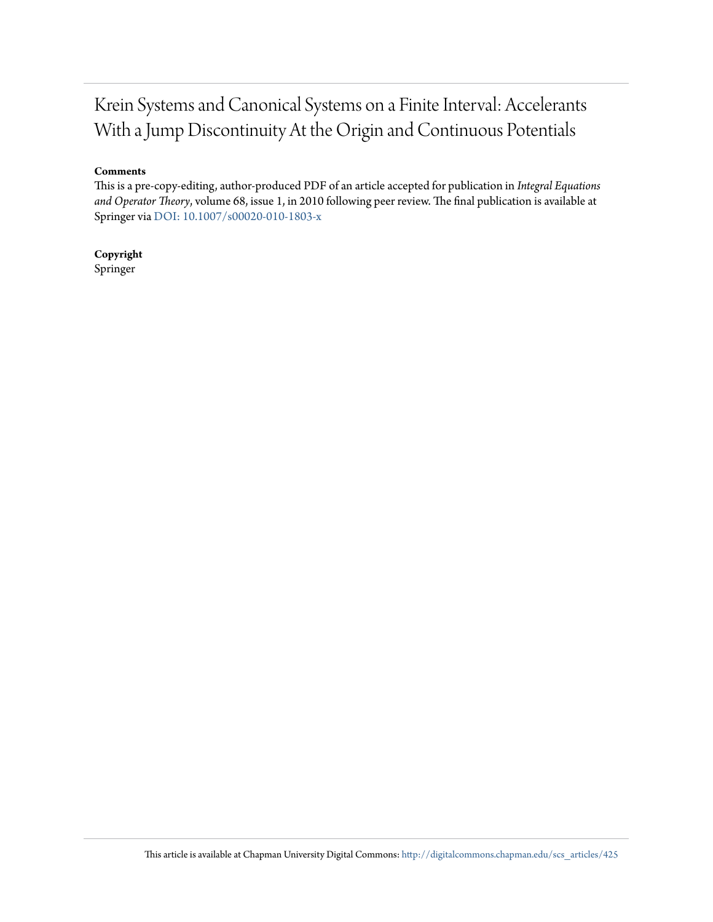## Krein Systems and Canonical Systems on a Finite Interval: Accelerants With a Jump Discontinuity At the Origin and Continuous Potentials

#### **Comments**

This is a pre-copy-editing, author-produced PDF of an article accepted for publication in *Integral Equations and Operator Theory*, volume 68, issue 1, in 2010 following peer review. The final publication is available at Springer via [DOI: 10.1007/s00020-010-1803-x](http://dx.doi.org/10.1007/s00020-010-1803-x)

**Copyright** Springer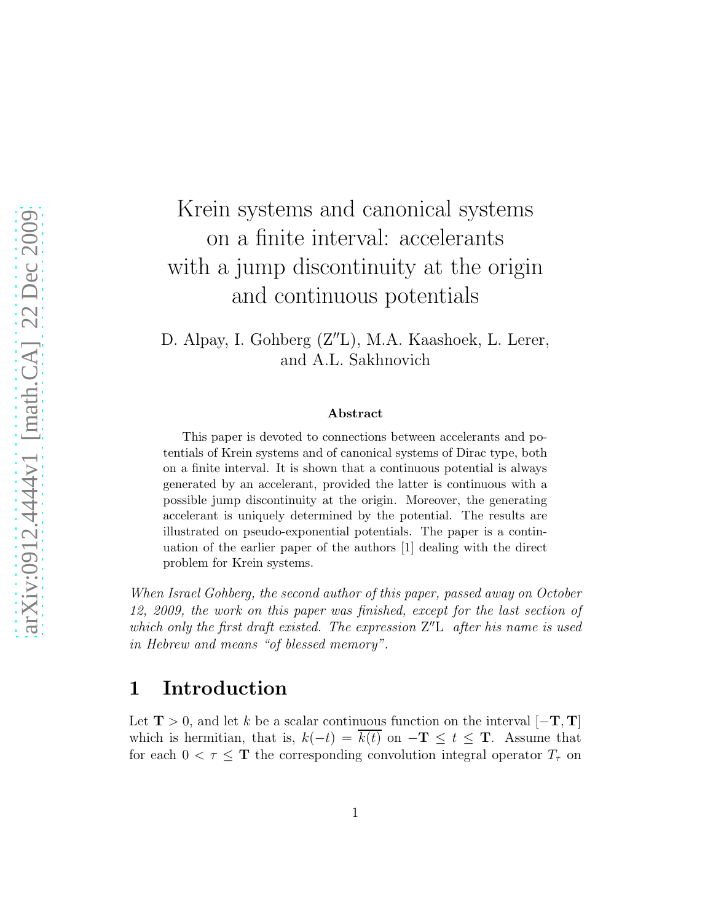# Krein systems and canonical systems on a finite interval: accelerants with a jump discontinuity at the origin and continuous potentials

D. Alpay, I. Gohberg (Z′′L), M.A. Kaashoek, L. Lerer, and A.L. Sakhnovich

#### Abstract

This paper is devoted to connections between accelerants and potentials of Krein systems and of canonical systems of Dirac type, both on a finite interval. It is shown that a continuous potential is always generated by an accelerant, provided the latter is continuous with a possible jump discontinuity at the origin. Moreover, the generating accelerant is uniquely determined by the potential. The results are illustrated on pseudo-exponential potentials. The paper is a continuation of the earlier paper of the authors [1] dealing with the direct problem for Krein systems.

When Israel Gohberg, the second author of this paper, passed away on October 12, 2009, the work on this paper was finished, except for the last section of which only the first draft existed. The expression  $Z''L$  after his name is used in Hebrew and means "of blessed memory".

## 1 Introduction

Let  $\mathbf{T} > 0$ , and let k be a scalar continuous function on the interval  $[-\mathbf{T}, \mathbf{T}]$ which is hermitian, that is,  $k(-t) = k(t)$  on  $-\mathbf{T} \leq t \leq \mathbf{T}$ . Assume that for each  $0 < \tau \leq T$  the corresponding convolution integral operator  $T_{\tau}$  on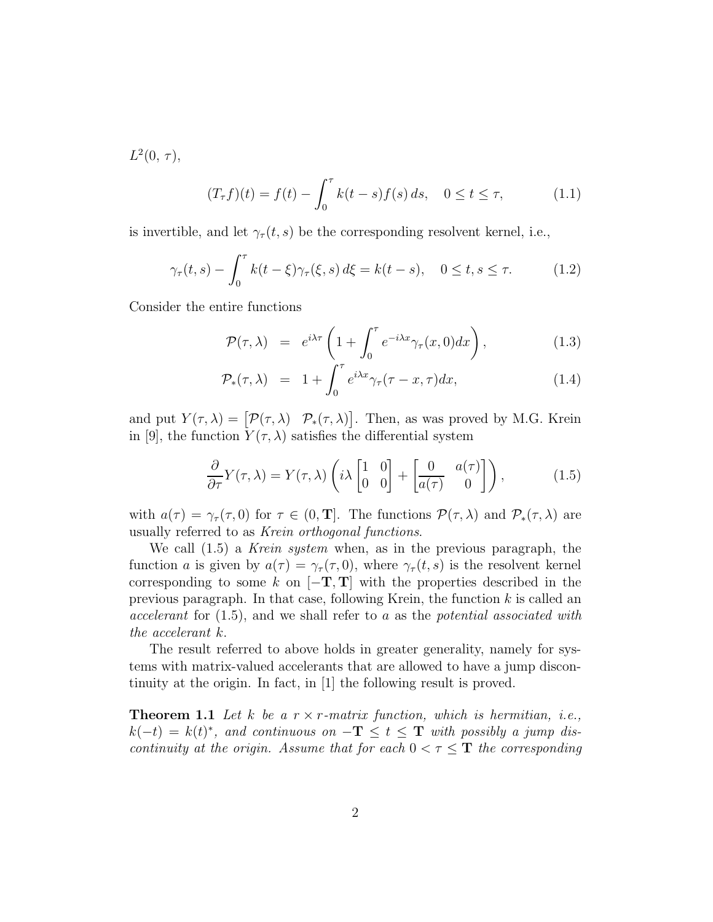$L^2(0, \tau),$ 

$$
(T_{\tau}f)(t) = f(t) - \int_0^{\tau} k(t - s) f(s) ds, \quad 0 \le t \le \tau,
$$
 (1.1)

is invertible, and let  $\gamma_{\tau}(t, s)$  be the corresponding resolvent kernel, i.e.,

$$
\gamma_{\tau}(t,s) - \int_0^{\tau} k(t-\xi)\gamma_{\tau}(\xi,s) d\xi = k(t-s), \quad 0 \le t, s \le \tau. \tag{1.2}
$$

Consider the entire functions

$$
\mathcal{P}(\tau,\lambda) = e^{i\lambda\tau} \left(1 + \int_0^\tau e^{-i\lambda x} \gamma_\tau(x,0) dx\right), \tag{1.3}
$$

$$
\mathcal{P}_{*}(\tau,\lambda) = 1 + \int_{0}^{\tau} e^{i\lambda x} \gamma_{\tau}(\tau - x, \tau) dx, \qquad (1.4)
$$

and put  $Y(\tau, \lambda) = [\mathcal{P}(\tau, \lambda) \quad \mathcal{P}_*(\tau, \lambda)].$  Then, as was proved by M.G. Krein in [9], the function  $Y(\tau, \lambda)$  satisfies the differential system

$$
\frac{\partial}{\partial \tau} Y(\tau, \lambda) = Y(\tau, \lambda) \left( i \lambda \begin{bmatrix} 1 & 0 \\ 0 & 0 \end{bmatrix} + \begin{bmatrix} 0 & a(\tau) \\ a(\tau) & 0 \end{bmatrix} \right), \tag{1.5}
$$

with  $a(\tau) = \gamma_\tau(\tau, 0)$  for  $\tau \in (0, T]$ . The functions  $\mathcal{P}(\tau, \lambda)$  and  $\mathcal{P}_*(\tau, \lambda)$  are usually referred to as Krein orthogonal functions.

We call  $(1.5)$  a *Krein system* when, as in the previous paragraph, the function a is given by  $a(\tau) = \gamma_{\tau}(\tau, 0)$ , where  $\gamma_{\tau}(t, s)$  is the resolvent kernel corresponding to some k on  $[-T, T]$  with the properties described in the previous paragraph. In that case, following Krein, the function  $k$  is called an accelerant for  $(1.5)$ , and we shall refer to a as the *potential associated with* the accelerant k.

The result referred to above holds in greater generality, namely for systems with matrix-valued accelerants that are allowed to have a jump discontinuity at the origin. In fact, in [1] the following result is proved.

**Theorem 1.1** Let k be a  $r \times r$ -matrix function, which is hermitian, i.e.,  $k(-t) = k(t)^*$ , and continuous on  $-\mathbf{T} \le t \le \mathbf{T}$  with possibly a jump discontinuity at the origin. Assume that for each  $0 < \tau \leq T$  the corresponding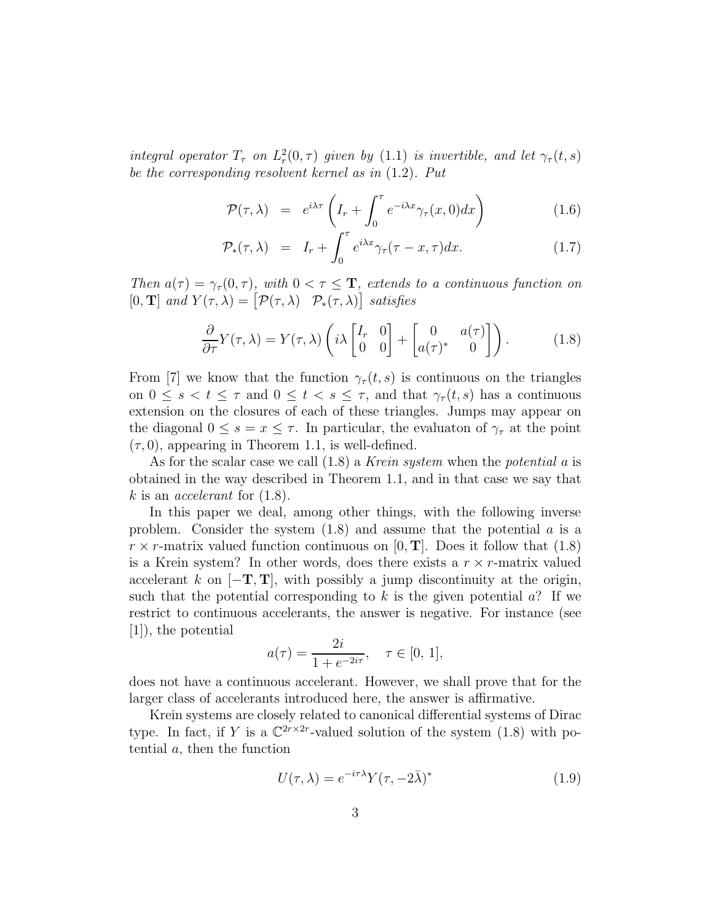integral operator  $T_{\tau}$  on  $L_r^2(0,\tau)$  given by  $(1.1)$  is invertible, and let  $\gamma_{\tau}(t,s)$ be the corresponding resolvent kernel as in (1.2). Put

$$
\mathcal{P}(\tau,\lambda) = e^{i\lambda\tau} \left( I_r + \int_0^\tau e^{-i\lambda x} \gamma_\tau(x,0) dx \right) \tag{1.6}
$$

$$
\mathcal{P}_*(\tau,\lambda) = I_r + \int_0^\tau e^{i\lambda x} \gamma_\tau(\tau - x, \tau) dx. \tag{1.7}
$$

Then  $a(\tau) = \gamma_{\tau}(0, \tau)$ , with  $0 < \tau \leq T$ , extends to a continuous function on [0, **T**] and  $Y(\tau, \lambda) = [\mathcal{P}(\tau, \lambda) \quad \mathcal{P}_*(\tau, \lambda)]$  satisfies

$$
\frac{\partial}{\partial \tau} Y(\tau, \lambda) = Y(\tau, \lambda) \left( i \lambda \begin{bmatrix} I_r & 0 \\ 0 & 0 \end{bmatrix} + \begin{bmatrix} 0 & a(\tau) \\ a(\tau)^* & 0 \end{bmatrix} \right). \tag{1.8}
$$

From [7] we know that the function  $\gamma_{\tau}(t,s)$  is continuous on the triangles on  $0 \leq s < t \leq \tau$  and  $0 \leq t < s \leq \tau$ , and that  $\gamma_{\tau}(t, s)$  has a continuous extension on the closures of each of these triangles. Jumps may appear on the diagonal  $0 \leq s = x \leq \tau$ . In particular, the evaluation of  $\gamma_{\tau}$  at the point  $(\tau, 0)$ , appearing in Theorem 1.1, is well-defined.

As for the scalar case we call  $(1.8)$  a Krein system when the potential a is obtained in the way described in Theorem 1.1, and in that case we say that k is an *accelerant* for  $(1.8)$ .

In this paper we deal, among other things, with the following inverse problem. Consider the system  $(1.8)$  and assume that the potential a is a  $r \times r$ -matrix valued function continuous on [0, **T**]. Does it follow that (1.8) is a Krein system? In other words, does there exists a  $r \times r$ -matrix valued accelerant k on  $[-T, T]$ , with possibly a jump discontinuity at the origin, such that the potential corresponding to k is the given potential  $a$ ? If we restrict to continuous accelerants, the answer is negative. For instance (see [1]), the potential

$$
a(\tau) = \frac{2i}{1 + e^{-2i\tau}}, \quad \tau \in [0, 1],
$$

does not have a continuous accelerant. However, we shall prove that for the larger class of accelerants introduced here, the answer is affirmative.

Krein systems are closely related to canonical differential systems of Dirac type. In fact, if Y is a  $\mathbb{C}^{2r \times 2r}$ -valued solution of the system (1.8) with potential  $a$ , then the function

$$
U(\tau,\lambda) = e^{-i\tau\lambda} Y(\tau,-2\bar{\lambda})^*
$$
\n(1.9)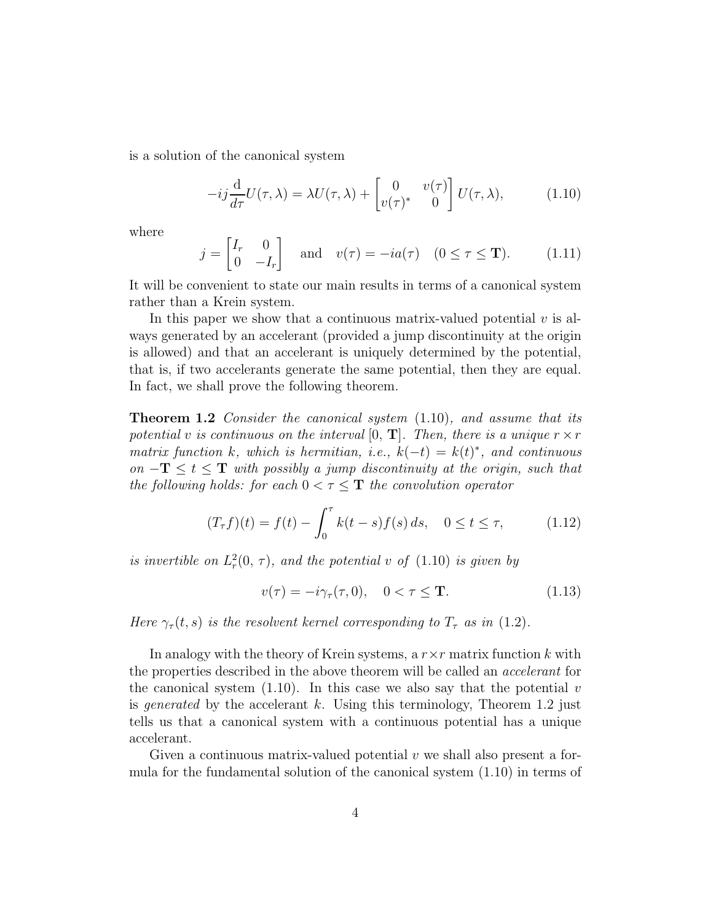is a solution of the canonical system

$$
-ij\frac{\mathrm{d}}{d\tau}U(\tau,\lambda) = \lambda U(\tau,\lambda) + \begin{bmatrix} 0 & v(\tau) \\ v(\tau)^* & 0 \end{bmatrix} U(\tau,\lambda), \quad (1.10)
$$

where

$$
j = \begin{bmatrix} I_r & 0 \\ 0 & -I_r \end{bmatrix} \quad \text{and} \quad v(\tau) = -ia(\tau) \quad (0 \le \tau \le \mathbf{T}). \tag{1.11}
$$

It will be convenient to state our main results in terms of a canonical system rather than a Krein system.

In this paper we show that a continuous matrix-valued potential  $v$  is always generated by an accelerant (provided a jump discontinuity at the origin is allowed) and that an accelerant is uniquely determined by the potential, that is, if two accelerants generate the same potential, then they are equal. In fact, we shall prove the following theorem.

**Theorem 1.2** Consider the canonical system  $(1.10)$ , and assume that its potential v is continuous on the interval [0, T]. Then, there is a unique  $r \times r$ matrix function k, which is hermitian, i.e.,  $k(-t) = k(t)^*$ , and continuous on  $-\mathbf{T} \leq t \leq \mathbf{T}$  with possibly a jump discontinuity at the origin, such that the following holds: for each  $0 < \tau \leq T$  the convolution operator

$$
(T_{\tau}f)(t) = f(t) - \int_0^{\tau} k(t - s) f(s) ds, \quad 0 \le t \le \tau,
$$
 (1.12)

is invertible on  $L_r^2(0, \tau)$ , and the potential v of  $(1.10)$  is given by

$$
v(\tau) = -i\gamma_\tau(\tau, 0), \quad 0 < \tau \leq \mathbf{T}.\tag{1.13}
$$

Here  $\gamma_{\tau}(t,s)$  is the resolvent kernel corresponding to  $T_{\tau}$  as in (1.2).

In analogy with the theory of Krein systems, a  $r \times r$  matrix function k with the properties described in the above theorem will be called an accelerant for the canonical system (1.10). In this case we also say that the potential  $v$ is *generated* by the accelerant k. Using this terminology, Theorem 1.2 just tells us that a canonical system with a continuous potential has a unique accelerant.

Given a continuous matrix-valued potential  $v$  we shall also present a formula for the fundamental solution of the canonical system (1.10) in terms of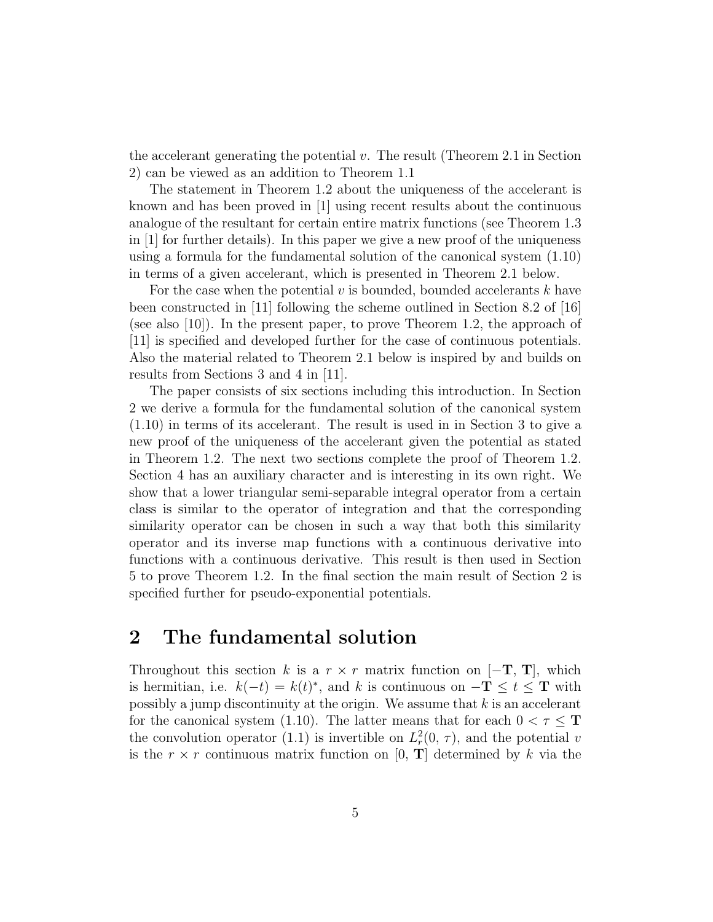the accelerant generating the potential  $v$ . The result (Theorem 2.1 in Section 2) can be viewed as an addition to Theorem 1.1

The statement in Theorem 1.2 about the uniqueness of the accelerant is known and has been proved in [1] using recent results about the continuous analogue of the resultant for certain entire matrix functions (see Theorem 1.3 in [1] for further details). In this paper we give a new proof of the uniqueness using a formula for the fundamental solution of the canonical system (1.10) in terms of a given accelerant, which is presented in Theorem 2.1 below.

For the case when the potential  $v$  is bounded, bounded accelerants  $k$  have been constructed in [11] following the scheme outlined in Section 8.2 of [16] (see also [10]). In the present paper, to prove Theorem 1.2, the approach of [11] is specified and developed further for the case of continuous potentials. Also the material related to Theorem 2.1 below is inspired by and builds on results from Sections 3 and 4 in [11].

The paper consists of six sections including this introduction. In Section 2 we derive a formula for the fundamental solution of the canonical system (1.10) in terms of its accelerant. The result is used in in Section 3 to give a new proof of the uniqueness of the accelerant given the potential as stated in Theorem 1.2. The next two sections complete the proof of Theorem 1.2. Section 4 has an auxiliary character and is interesting in its own right. We show that a lower triangular semi-separable integral operator from a certain class is similar to the operator of integration and that the corresponding similarity operator can be chosen in such a way that both this similarity operator and its inverse map functions with a continuous derivative into functions with a continuous derivative. This result is then used in Section 5 to prove Theorem 1.2. In the final section the main result of Section 2 is specified further for pseudo-exponential potentials.

#### 2 The fundamental solution

Throughout this section k is a  $r \times r$  matrix function on  $[-T, T]$ , which is hermitian, i.e.  $k(-t) = k(t)^*$ , and k is continuous on  $-\mathbf{T} \le t \le \mathbf{T}$  with possibly a jump discontinuity at the origin. We assume that  $k$  is an accelerant for the canonical system (1.10). The latter means that for each  $0 < \tau \leq T$ the convolution operator (1.1) is invertible on  $L_r^2(0, \tau)$ , and the potential v is the  $r \times r$  continuous matrix function on [0, **T**] determined by k via the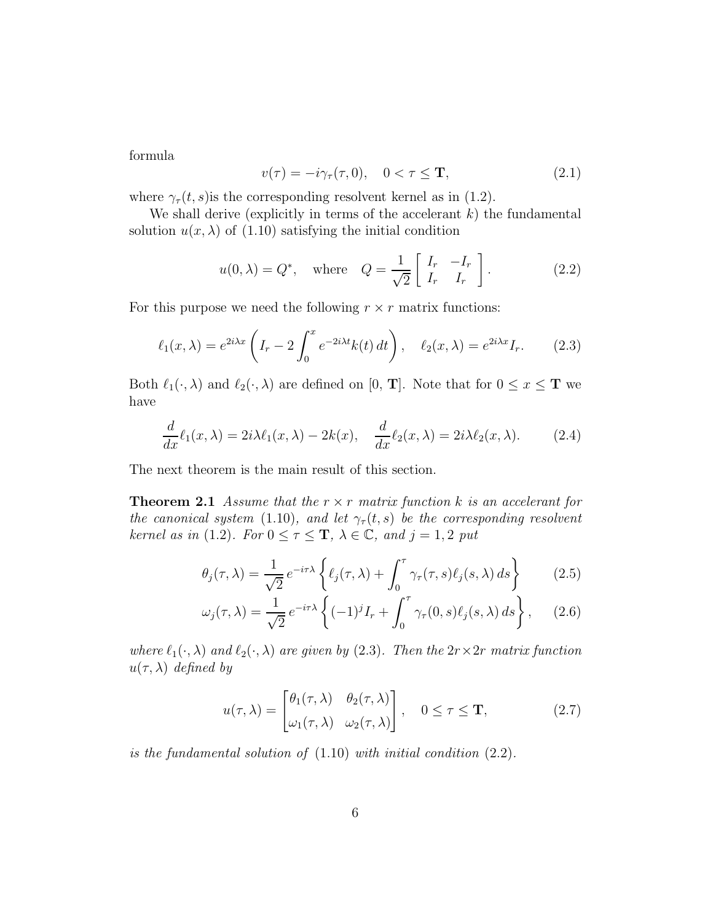formula

$$
v(\tau) = -i\gamma_{\tau}(\tau, 0), \quad 0 < \tau \leq \mathbf{T}, \tag{2.1}
$$

where  $\gamma_{\tau}(t, s)$  is the corresponding resolvent kernel as in (1.2).

We shall derive (explicitly in terms of the accelerant  $k$ ) the fundamental solution  $u(x, \lambda)$  of (1.10) satisfying the initial condition

$$
u(0,\lambda) = Q^*, \quad \text{where} \quad Q = \frac{1}{\sqrt{2}} \begin{bmatrix} I_r & -I_r \\ I_r & I_r \end{bmatrix} . \tag{2.2}
$$

For this purpose we need the following  $r \times r$  matrix functions:

$$
\ell_1(x,\lambda) = e^{2i\lambda x} \left( I_r - 2 \int_0^x e^{-2i\lambda t} k(t) dt \right), \quad \ell_2(x,\lambda) = e^{2i\lambda x} I_r. \tag{2.3}
$$

Both  $\ell_1(\cdot, \lambda)$  and  $\ell_2(\cdot, \lambda)$  are defined on [0, **T**]. Note that for  $0 \le x \le T$  we have

$$
\frac{d}{dx}\ell_1(x,\lambda) = 2i\lambda\ell_1(x,\lambda) - 2k(x), \quad \frac{d}{dx}\ell_2(x,\lambda) = 2i\lambda\ell_2(x,\lambda). \tag{2.4}
$$

The next theorem is the main result of this section.

**Theorem 2.1** Assume that the  $r \times r$  matrix function k is an accelerant for the canonical system (1.10), and let  $\gamma_\tau(t,s)$  be the corresponding resolvent kernel as in (1.2). For  $0 \leq \tau \leq T$ ,  $\lambda \in \mathbb{C}$ , and  $j = 1, 2$  put

$$
\theta_j(\tau,\lambda) = \frac{1}{\sqrt{2}} e^{-i\tau\lambda} \left\{ \ell_j(\tau,\lambda) + \int_0^{\tau} \gamma_\tau(\tau,s) \ell_j(s,\lambda) ds \right\} \tag{2.5}
$$

$$
\omega_j(\tau,\lambda) = \frac{1}{\sqrt{2}} e^{-i\tau\lambda} \left\{ (-1)^j I_r + \int_0^\tau \gamma_\tau(0,s) \ell_j(s,\lambda) \, ds \right\},\qquad(2.6)
$$

where  $\ell_1(\cdot, \lambda)$  and  $\ell_2(\cdot, \lambda)$  are given by (2.3). Then the  $2r \times 2r$  matrix function  $u(\tau, \lambda)$  defined by

$$
u(\tau,\lambda) = \begin{bmatrix} \theta_1(\tau,\lambda) & \theta_2(\tau,\lambda) \\ \omega_1(\tau,\lambda) & \omega_2(\tau,\lambda) \end{bmatrix}, \quad 0 \le \tau \le \mathbf{T},
$$
 (2.7)

is the fundamental solution of  $(1.10)$  with initial condition  $(2.2)$ .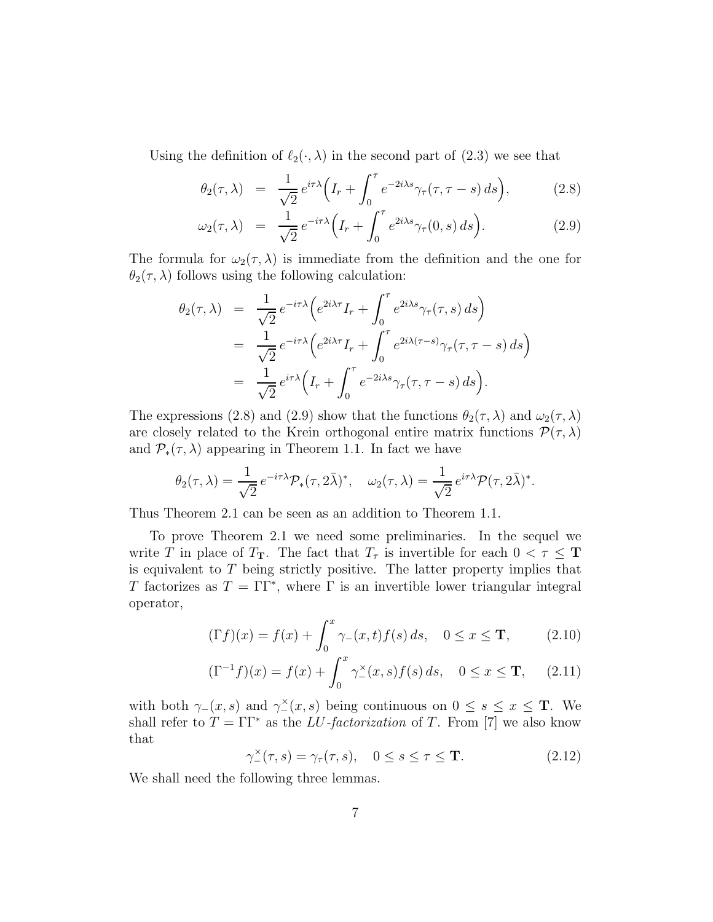Using the definition of  $\ell_2(\cdot, \lambda)$  in the second part of (2.3) we see that

$$
\theta_2(\tau,\lambda) = \frac{1}{\sqrt{2}} e^{i\tau\lambda} \Big( I_r + \int_0^\tau e^{-2i\lambda s} \gamma_\tau(\tau,\tau-s) \, ds \Big), \tag{2.8}
$$

$$
\omega_2(\tau,\lambda) = \frac{1}{\sqrt{2}} e^{-i\tau\lambda} \Big( I_r + \int_0^\tau e^{2i\lambda s} \gamma_\tau(0,s) \, ds \Big). \tag{2.9}
$$

The formula for  $\omega_2(\tau, \lambda)$  is immediate from the definition and the one for  $\theta_2(\tau,\lambda)$  follows using the following calculation:

$$
\theta_2(\tau,\lambda) = \frac{1}{\sqrt{2}} e^{-i\tau\lambda} \Big( e^{2i\lambda\tau} I_r + \int_0^{\tau} e^{2i\lambda s} \gamma_\tau(\tau,s) ds \Big)
$$
  
\n
$$
= \frac{1}{\sqrt{2}} e^{-i\tau\lambda} \Big( e^{2i\lambda\tau} I_r + \int_0^{\tau} e^{2i\lambda(\tau-s)} \gamma_\tau(\tau,\tau-s) ds \Big)
$$
  
\n
$$
= \frac{1}{\sqrt{2}} e^{i\tau\lambda} \Big( I_r + \int_0^{\tau} e^{-2i\lambda s} \gamma_\tau(\tau,\tau-s) ds \Big).
$$

The expressions (2.8) and (2.9) show that the functions  $\theta_2(\tau, \lambda)$  and  $\omega_2(\tau, \lambda)$ are closely related to the Krein orthogonal entire matrix functions  $\mathcal{P}(\tau,\lambda)$ and  $\mathcal{P}_*(\tau,\lambda)$  appearing in Theorem 1.1. In fact we have

$$
\theta_2(\tau,\lambda) = \frac{1}{\sqrt{2}} e^{-i\tau\lambda} \mathcal{P}_*(\tau,2\bar{\lambda})^*, \quad \omega_2(\tau,\lambda) = \frac{1}{\sqrt{2}} e^{i\tau\lambda} \mathcal{P}(\tau,2\bar{\lambda})^*.
$$

Thus Theorem 2.1 can be seen as an addition to Theorem 1.1.

To prove Theorem 2.1 we need some preliminaries. In the sequel we write T in place of  $T_T$ . The fact that  $T_{\tau}$  is invertible for each  $0 < \tau \leq T$ is equivalent to  $T$  being strictly positive. The latter property implies that T factorizes as  $T = \Gamma \Gamma^*$ , where  $\Gamma$  is an invertible lower triangular integral operator,

$$
(\Gamma f)(x) = f(x) + \int_0^x \gamma_-(x, t) f(s) \, ds, \quad 0 \le x \le \mathbf{T}, \tag{2.10}
$$

$$
(\Gamma^{-1}f)(x) = f(x) + \int_0^x \gamma_-^{\times}(x, s) f(s) ds, \quad 0 \le x \le \mathbf{T}, \quad (2.11)
$$

with both  $\gamma_-(x, s)$  and  $\gamma_-(x, s)$  being continuous on  $0 \leq s \leq x \leq T$ . We shall refer to  $T = \Gamma \Gamma^*$  as the *LU-factorization* of T. From [7] we also know that

$$
\gamma_{-}^{\times}(\tau,s) = \gamma_{\tau}(\tau,s), \quad 0 \le s \le \tau \le \mathbf{T}.\tag{2.12}
$$

We shall need the following three lemmas.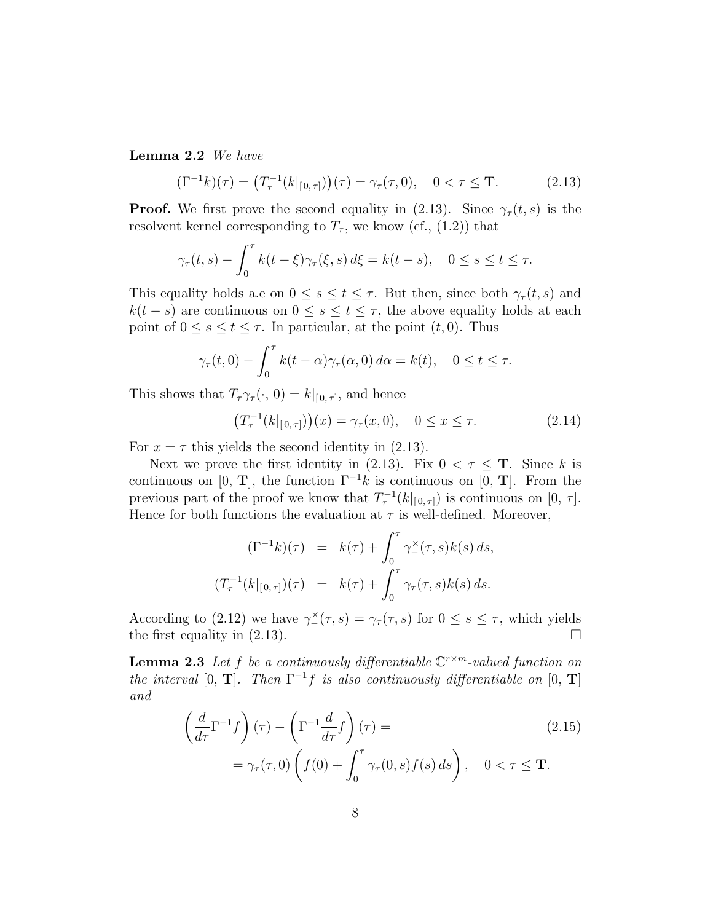Lemma 2.2 We have

$$
(\Gamma^{-1}k)(\tau) = (T_{\tau}^{-1}(k|_{[0,\tau]}))(\tau) = \gamma_{\tau}(\tau,0), \quad 0 < \tau \leq \mathbf{T}.
$$
 (2.13)

**Proof.** We first prove the second equality in (2.13). Since  $\gamma_{\tau}(t, s)$  is the resolvent kernel corresponding to  $T_{\tau}$ , we know (cf., (1.2)) that

$$
\gamma_{\tau}(t,s) - \int_0^{\tau} k(t-\xi)\gamma_{\tau}(\xi,s) d\xi = k(t-s), \quad 0 \le s \le t \le \tau.
$$

This equality holds a.e on  $0 \leq s \leq t \leq \tau$ . But then, since both  $\gamma_{\tau}(t, s)$  and  $k(t - s)$  are continuous on  $0 \leq s \leq t \leq \tau$ , the above equality holds at each point of  $0 \leq s \leq t \leq \tau$ . In particular, at the point  $(t, 0)$ . Thus

$$
\gamma_{\tau}(t,0) - \int_0^{\tau} k(t-\alpha)\gamma_{\tau}(\alpha,0) d\alpha = k(t), \quad 0 \le t \le \tau.
$$

This shows that  $T_{\tau}\gamma_{\tau}(\cdot, 0) = k|_{[0, \tau]}$ , and hence

$$
(T_{\tau}^{-1}(k|_{[0,\tau]}))(x) = \gamma_{\tau}(x,0), \quad 0 \le x \le \tau.
$$
 (2.14)

For  $x = \tau$  this yields the second identity in (2.13).

Next we prove the first identity in (2.13). Fix  $0 < \tau \leq T$ . Since k is continuous on [0, T], the function  $\Gamma^{-1}k$  is continuous on [0, T]. From the previous part of the proof we know that  $T_{\tau}^{-1}(k|_{[0,\tau]})$  is continuous on  $[0, \tau]$ . Hence for both functions the evaluation at  $\tau$  is well-defined. Moreover,

$$
(\Gamma^{-1}k)(\tau) = k(\tau) + \int_0^{\tau} \gamma_{-}^{\times}(\tau, s)k(s) ds,
$$
  

$$
(T_{\tau}^{-1}(k|_{[0,\tau]})(\tau) = k(\tau) + \int_0^{\tau} \gamma_{\tau}(\tau, s)k(s) ds.
$$

According to (2.12) we have  $\gamma^{\times}(\tau,s) = \gamma_{\tau}(\tau,s)$  for  $0 \leq s \leq \tau$ , which yields the first equality in  $(2.13)$ .

**Lemma 2.3** Let f be a continuously differentiable  $\mathbb{C}^{r \times m}$ -valued function on the interval [0, **T**]. Then  $\Gamma^{-1}f$  is also continuously differentiable on [0, **T**] and

$$
\left(\frac{d}{d\tau}\Gamma^{-1}f\right)(\tau) - \left(\Gamma^{-1}\frac{d}{d\tau}f\right)(\tau) =
$$
\n
$$
= \gamma_{\tau}(\tau,0) \left(f(0) + \int_0^{\tau} \gamma_{\tau}(0,s)f(s) \, ds\right), \quad 0 < \tau \leq \mathbf{T}.
$$
\n(2.15)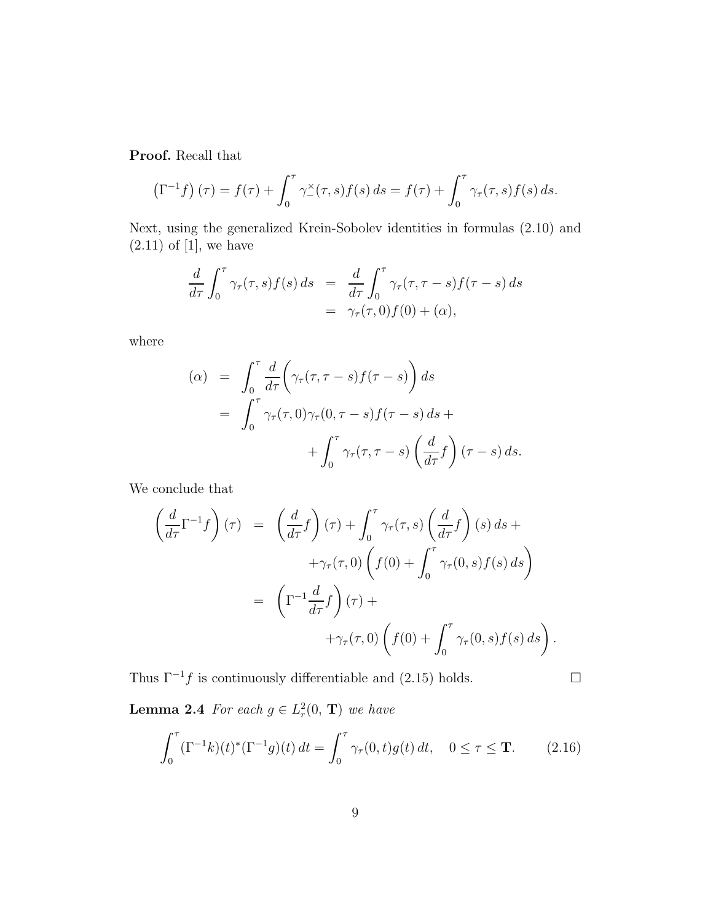Proof. Recall that

$$
\left(\Gamma^{-1}f\right)(\tau) = f(\tau) + \int_0^{\tau} \gamma^{\times}(\tau, s) f(s) ds = f(\tau) + \int_0^{\tau} \gamma_{\tau}(\tau, s) f(s) ds.
$$

Next, using the generalized Krein-Sobolev identities in formulas (2.10) and  $(2.11)$  of [1], we have

$$
\frac{d}{d\tau} \int_0^{\tau} \gamma_\tau(\tau, s) f(s) ds = \frac{d}{d\tau} \int_0^{\tau} \gamma_\tau(\tau, \tau - s) f(\tau - s) ds \n= \gamma_\tau(\tau, 0) f(0) + (\alpha),
$$

where

$$
\begin{aligned} \text{(}\alpha) &= \int_0^\tau \frac{d}{d\tau} \bigg( \gamma_\tau(\tau, \tau - s) f(\tau - s) \bigg) \, ds \\ &= \int_0^\tau \gamma_\tau(\tau, 0) \gamma_\tau(0, \tau - s) f(\tau - s) \, ds + \\ &+ \int_0^\tau \gamma_\tau(\tau, \tau - s) \left( \frac{d}{d\tau} f \right) (\tau - s) \, ds. \end{aligned}
$$

We conclude that

$$
\left(\frac{d}{d\tau}\Gamma^{-1}f\right)(\tau) = \left(\frac{d}{d\tau}f\right)(\tau) + \int_0^{\tau} \gamma_\tau(\tau,s) \left(\frac{d}{d\tau}f\right)(s) ds + \n+ \gamma_\tau(\tau,0) \left(f(0) + \int_0^{\tau} \gamma_\tau(0,s)f(s) ds\right) \n= \left(\Gamma^{-1}\frac{d}{d\tau}f\right)(\tau) + \n+ \gamma_\tau(\tau,0) \left(f(0) + \int_0^{\tau} \gamma_\tau(0,s)f(s) ds\right).
$$

Thus  $\Gamma^{-1}f$  is continuously differentiable and (2.15) holds.  $\Box$ 

**Lemma 2.4** For each  $g \in L^2_r(0, T)$  we have

$$
\int_0^{\tau} (\Gamma^{-1}k)(t)^*(\Gamma^{-1}g)(t) dt = \int_0^{\tau} \gamma_{\tau}(0,t)g(t) dt, \quad 0 \le \tau \le \mathbf{T}.
$$
 (2.16)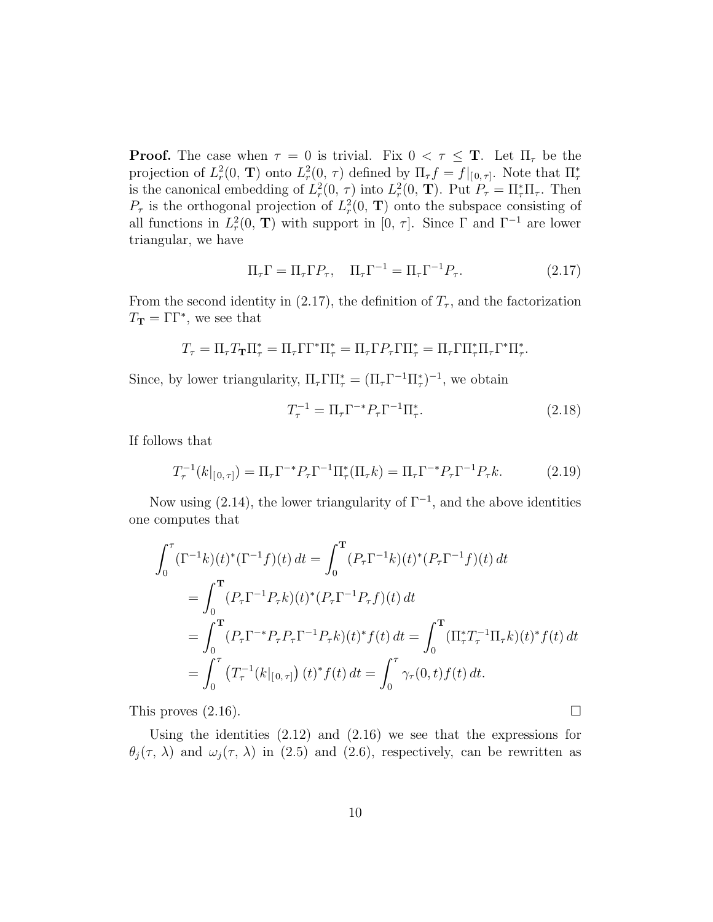**Proof.** The case when  $\tau = 0$  is trivial. Fix  $0 < \tau \leq T$ . Let  $\Pi_{\tau}$  be the projection of  $L_r^2(0, T)$  onto  $L_r^2(0, \tau)$  defined by  $\Pi_\tau f = f|_{[0, \tau]}$ . Note that  $\Pi_\tau^*$ is the canonical embedding of  $L_r^2(0, \tau)$  into  $L_r^2(0, \mathbf{T})$ . Put  $P_\tau = \prod_{\tau}^* \Pi_{\tau}$ . Then  $P_{\tau}$  is the orthogonal projection of  $L_r^2(0, T)$  onto the subspace consisting of all functions in  $L_r^2(0, T)$  with support in [0,  $\tau$ ]. Since  $\Gamma$  and  $\Gamma^{-1}$  are lower triangular, we have

$$
\Pi_{\tau}\Gamma = \Pi_{\tau}\Gamma P_{\tau}, \quad \Pi_{\tau}\Gamma^{-1} = \Pi_{\tau}\Gamma^{-1}P_{\tau}.
$$
\n(2.17)

From the second identity in (2.17), the definition of  $T<sub>\tau</sub>$ , and the factorization  $T_{\mathbf{T}} = \Gamma \Gamma^*$ , we see that

$$
T_{\tau} = \Pi_{\tau} T_{\mathbf{T}} \Pi_{\tau}^* = \Pi_{\tau} \Gamma \Gamma^* \Pi_{\tau}^* = \Pi_{\tau} \Gamma P_{\tau} \Gamma \Pi_{\tau}^* = \Pi_{\tau} \Gamma \Pi_{\tau}^* \Pi_{\tau} \Gamma^* \Pi_{\tau}^*.
$$

Since, by lower triangularity,  $\Pi_{\tau} \Gamma \Pi_{\tau}^* = (\Pi_{\tau} \Gamma^{-1} \Pi_{\tau}^*)^{-1}$ , we obtain

$$
T_{\tau}^{-1} = \Pi_{\tau} \Gamma^{-*} P_{\tau} \Gamma^{-1} \Pi_{\tau}^{*}.
$$
 (2.18)

If follows that

$$
T_{\tau}^{-1}(k|_{[0,\tau]}) = \Pi_{\tau}\Gamma^{-*}P_{\tau}\Gamma^{-1}\Pi_{\tau}^{*}(\Pi_{\tau}k) = \Pi_{\tau}\Gamma^{-*}P_{\tau}\Gamma^{-1}P_{\tau}k.
$$
 (2.19)

Now using  $(2.14)$ , the lower triangularity of  $\Gamma^{-1}$ , and the above identities one computes that

$$
\int_0^{\tau} (\Gamma^{-1}k)(t)^*(\Gamma^{-1}f)(t) dt = \int_0^{\tau} (P_{\tau}\Gamma^{-1}k)(t)^*(P_{\tau}\Gamma^{-1}f)(t) dt
$$
  
\n
$$
= \int_0^{\tau} (P_{\tau}\Gamma^{-1}P_{\tau}k)(t)^*(P_{\tau}\Gamma^{-1}P_{\tau}f)(t) dt
$$
  
\n
$$
= \int_0^{\tau} (P_{\tau}\Gamma^{-*}P_{\tau}P_{\tau}\Gamma^{-1}P_{\tau}k)(t)^*f(t) dt = \int_0^{\tau} (\Pi_{\tau}^*T_{\tau}^{-1}\Pi_{\tau}k)(t)^*f(t) dt
$$
  
\n
$$
= \int_0^{\tau} (T_{\tau}^{-1}(k|_{[0,\tau]})(t)^*f(t) dt = \int_0^{\tau} \gamma_{\tau}(0,t)f(t) dt.
$$

This proves  $(2.16)$ .

Using the identities  $(2.12)$  and  $(2.16)$  we see that the expressions for  $\theta_j(\tau, \lambda)$  and  $\omega_j(\tau, \lambda)$  in (2.5) and (2.6), respectively, can be rewritten as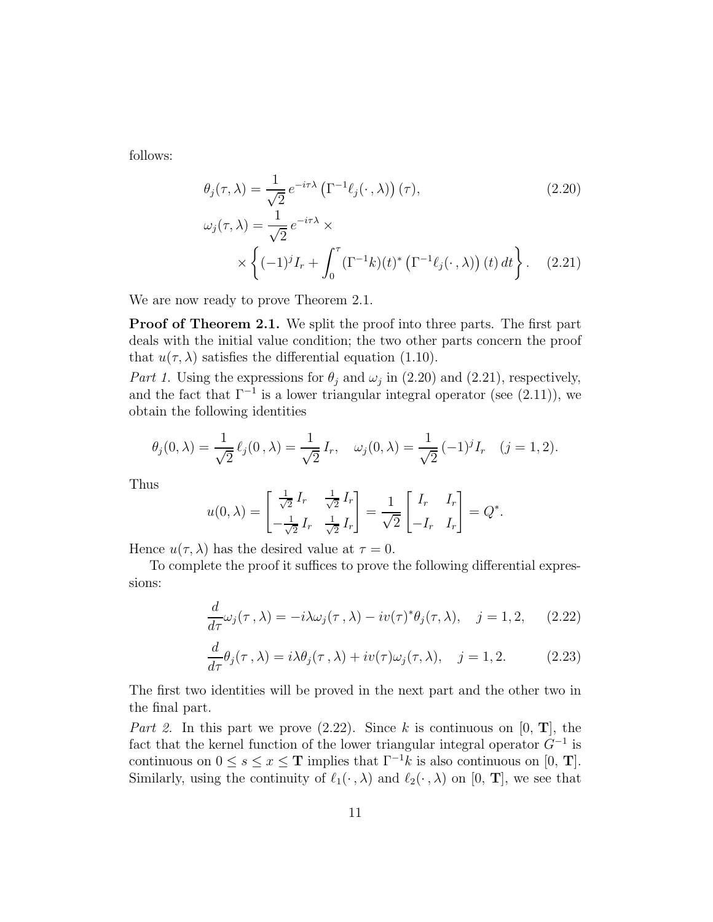follows:

$$
\theta_j(\tau,\lambda) = \frac{1}{\sqrt{2}} e^{-i\tau\lambda} \left(\Gamma^{-1}\ell_j(\cdot,\lambda)\right)(\tau),\tag{2.20}
$$
\n
$$
\omega_j(\tau,\lambda) = \frac{1}{\sqrt{2}} e^{-i\tau\lambda} \times \times \left\{(-1)^j I_r + \int_0^\tau (\Gamma^{-1}k)(t)^* \left(\Gamma^{-1}\ell_j(\cdot,\lambda)\right)(t) dt\right\}.\tag{2.21}
$$

We are now ready to prove Theorem 2.1.

Proof of Theorem 2.1. We split the proof into three parts. The first part deals with the initial value condition; the two other parts concern the proof that  $u(\tau, \lambda)$  satisfies the differential equation (1.10).

Part 1. Using the expressions for  $\theta_j$  and  $\omega_j$  in (2.20) and (2.21), respectively, and the fact that  $\Gamma^{-1}$  is a lower triangular integral operator (see (2.11)), we obtain the following identities

$$
\theta_j(0,\lambda) = \frac{1}{\sqrt{2}} \ell_j(0,\lambda) = \frac{1}{\sqrt{2}} I_r, \quad \omega_j(0,\lambda) = \frac{1}{\sqrt{2}} (-1)^j I_r \quad (j = 1, 2).
$$

Thus

$$
u(0,\lambda) = \begin{bmatrix} \frac{1}{\sqrt{2}} I_r & \frac{1}{\sqrt{2}} I_r \\ -\frac{1}{\sqrt{2}} I_r & \frac{1}{\sqrt{2}} I_r \end{bmatrix} = \frac{1}{\sqrt{2}} \begin{bmatrix} I_r & I_r \\ -I_r & I_r \end{bmatrix} = Q^*.
$$

Hence  $u(\tau, \lambda)$  has the desired value at  $\tau = 0$ .

To complete the proof it suffices to prove the following differential expressions:

$$
\frac{d}{d\tau}\omega_j(\tau,\lambda) = -i\lambda\omega_j(\tau,\lambda) - iv(\tau)^*\theta_j(\tau,\lambda), \quad j = 1, 2, \quad (2.22)
$$

$$
\frac{d}{d\tau}\theta_j(\tau,\lambda) = i\lambda\theta_j(\tau,\lambda) + iv(\tau)\omega_j(\tau,\lambda), \quad j = 1, 2. \tag{2.23}
$$

The first two identities will be proved in the next part and the other two in the final part.

Part 2. In this part we prove  $(2.22)$ . Since k is continuous on  $[0, T]$ , the fact that the kernel function of the lower triangular integral operator  $G^{-1}$  is continuous on  $0 \leq s \leq x \leq T$  implies that  $\Gamma^{-1} \check{k}$  is also continuous on [0, T]. Similarly, using the continuity of  $\ell_1(\cdot, \lambda)$  and  $\ell_2(\cdot, \lambda)$  on [0, **T**], we see that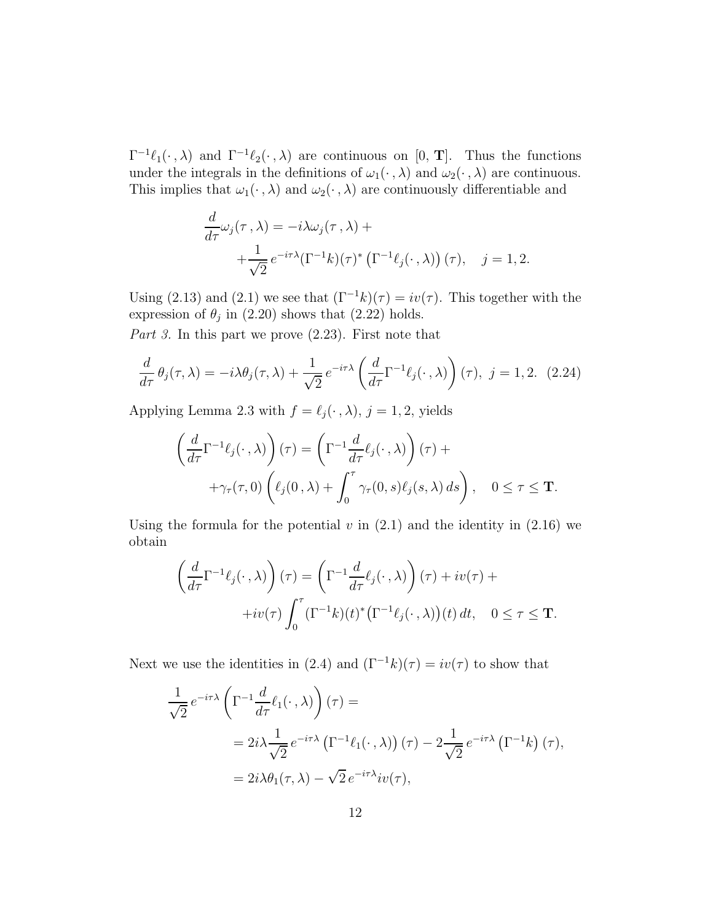$\Gamma^{-1}\ell_1(\cdot,\lambda)$  and  $\Gamma^{-1}\ell_2(\cdot,\lambda)$  are continuous on [0, **T**]. Thus the functions under the integrals in the definitions of  $\omega_1(\cdot, \lambda)$  and  $\omega_2(\cdot, \lambda)$  are continuous. This implies that  $\omega_1(\cdot, \lambda)$  and  $\omega_2(\cdot, \lambda)$  are continuously differentiable and

$$
\frac{d}{d\tau}\omega_j(\tau,\lambda) = -i\lambda\omega_j(\tau,\lambda) + \n+ \frac{1}{\sqrt{2}}e^{-i\tau\lambda}(\Gamma^{-1}k)(\tau)^*\left(\Gamma^{-1}\ell_j(\cdot,\lambda)\right)(\tau), \quad j = 1, 2.
$$

Using (2.13) and (2.1) we see that  $(\Gamma^{-1}k)(\tau) = iv(\tau)$ . This together with the expression of  $\theta_j$  in (2.20) shows that (2.22) holds.

Part 3. In this part we prove  $(2.23)$ . First note that

$$
\frac{d}{d\tau}\theta_j(\tau,\lambda) = -i\lambda\theta_j(\tau,\lambda) + \frac{1}{\sqrt{2}}e^{-i\tau\lambda}\left(\frac{d}{d\tau}\Gamma^{-1}\ell_j(\cdot,\lambda)\right)(\tau), \ j = 1, 2. \tag{2.24}
$$

Applying Lemma 2.3 with  $f = \ell_j(\cdot, \lambda)$ ,  $j = 1, 2$ , yields

$$
\left(\frac{d}{d\tau}\Gamma^{-1}\ell_j(\cdot,\lambda)\right)(\tau) = \left(\Gamma^{-1}\frac{d}{d\tau}\ell_j(\cdot,\lambda)\right)(\tau) +
$$

$$
+\gamma_\tau(\tau,0)\left(\ell_j(0,\lambda) + \int_0^\tau \gamma_\tau(0,s)\ell_j(s,\lambda)\,ds\right), \quad 0 \le \tau \le \mathbf{T}.
$$

Using the formula for the potential v in  $(2.1)$  and the identity in  $(2.16)$  we obtain

$$
\left(\frac{d}{d\tau}\Gamma^{-1}\ell_j(\cdot,\lambda)\right)(\tau) = \left(\Gamma^{-1}\frac{d}{d\tau}\ell_j(\cdot,\lambda)\right)(\tau) + iv(\tau) + iv(\tau)\int_0^\tau \left(\Gamma^{-1}k\right)(t)^*\left(\Gamma^{-1}\ell_j(\cdot,\lambda)\right)(t) dt, \quad 0 \le \tau \le \mathbf{T}.
$$

Next we use the identities in (2.4) and  $(\Gamma^{-1}k)(\tau) = iv(\tau)$  to show that

$$
\frac{1}{\sqrt{2}} e^{-i\tau\lambda} \left( \Gamma^{-1} \frac{d}{d\tau} \ell_1(\cdot, \lambda) \right) (\tau) =
$$
  
=  $2i\lambda \frac{1}{\sqrt{2}} e^{-i\tau\lambda} \left( \Gamma^{-1} \ell_1(\cdot, \lambda) \right) (\tau) - 2 \frac{1}{\sqrt{2}} e^{-i\tau\lambda} \left( \Gamma^{-1} k \right) (\tau),$   
=  $2i\lambda \theta_1(\tau, \lambda) - \sqrt{2} e^{-i\tau\lambda} i v(\tau),$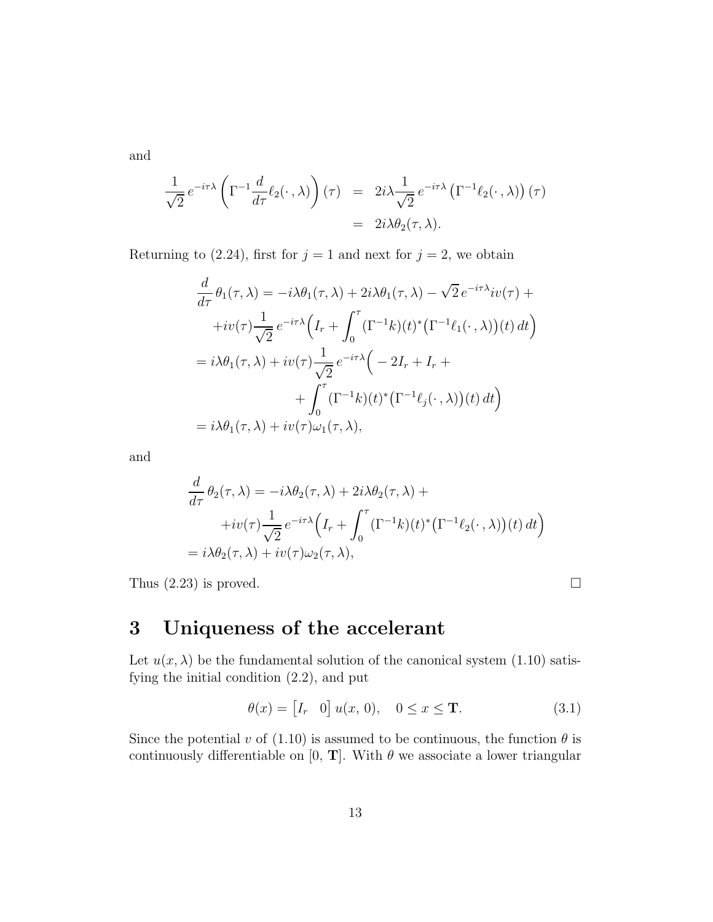and

$$
\frac{1}{\sqrt{2}} e^{-i\tau\lambda} \left( \Gamma^{-1} \frac{d}{d\tau} \ell_2(\cdot, \lambda) \right) (\tau) = 2i\lambda \frac{1}{\sqrt{2}} e^{-i\tau\lambda} \left( \Gamma^{-1} \ell_2(\cdot, \lambda) \right) (\tau)
$$
  
=  $2i\lambda \theta_2(\tau, \lambda).$ 

Returning to (2.24), first for  $j = 1$  and next for  $j = 2$ , we obtain

$$
\frac{d}{d\tau}\theta_1(\tau,\lambda) = -i\lambda\theta_1(\tau,\lambda) + 2i\lambda\theta_1(\tau,\lambda) - \sqrt{2}e^{-i\tau\lambda}iv(\tau) +\n+iv(\tau)\frac{1}{\sqrt{2}}e^{-i\tau\lambda}\Big(I_r + \int_0^\tau (\Gamma^{-1}k)(t)^*(\Gamma^{-1}\ell_1(\cdot,\lambda))(t)\,dt\Big) \n= i\lambda\theta_1(\tau,\lambda) + iv(\tau)\frac{1}{\sqrt{2}}e^{-i\tau\lambda}\Big(-2I_r + I_r +\n+ \int_0^\tau (\Gamma^{-1}k)(t)^*(\Gamma^{-1}\ell_j(\cdot,\lambda))(t)\,dt\Big) \n= i\lambda\theta_1(\tau,\lambda) + iv(\tau)\omega_1(\tau,\lambda),
$$

and

$$
\frac{d}{d\tau} \theta_2(\tau, \lambda) = -i\lambda \theta_2(\tau, \lambda) + 2i\lambda \theta_2(\tau, \lambda) +
$$
  
+
$$
+iv(\tau) \frac{1}{\sqrt{2}} e^{-i\tau\lambda} \Big( I_r + \int_0^\tau (\Gamma^{-1}k)(t)^* (\Gamma^{-1} \ell_2(\cdot, \lambda))(t) dt \Big)
$$
  
=  $i\lambda \theta_2(\tau, \lambda) + iv(\tau) \omega_2(\tau, \lambda),$ 

Thus  $(2.23)$  is proved.

## 3 Uniqueness of the accelerant

Let  $u(x, \lambda)$  be the fundamental solution of the canonical system (1.10) satisfying the initial condition (2.2), and put

$$
\theta(x) = \begin{bmatrix} I_r & 0 \end{bmatrix} u(x, 0), \quad 0 \le x \le \mathbf{T}.
$$
 (3.1)

Since the potential v of (1.10) is assumed to be continuous, the function  $\theta$  is continuously differentiable on [0, T]. With  $\theta$  we associate a lower triangular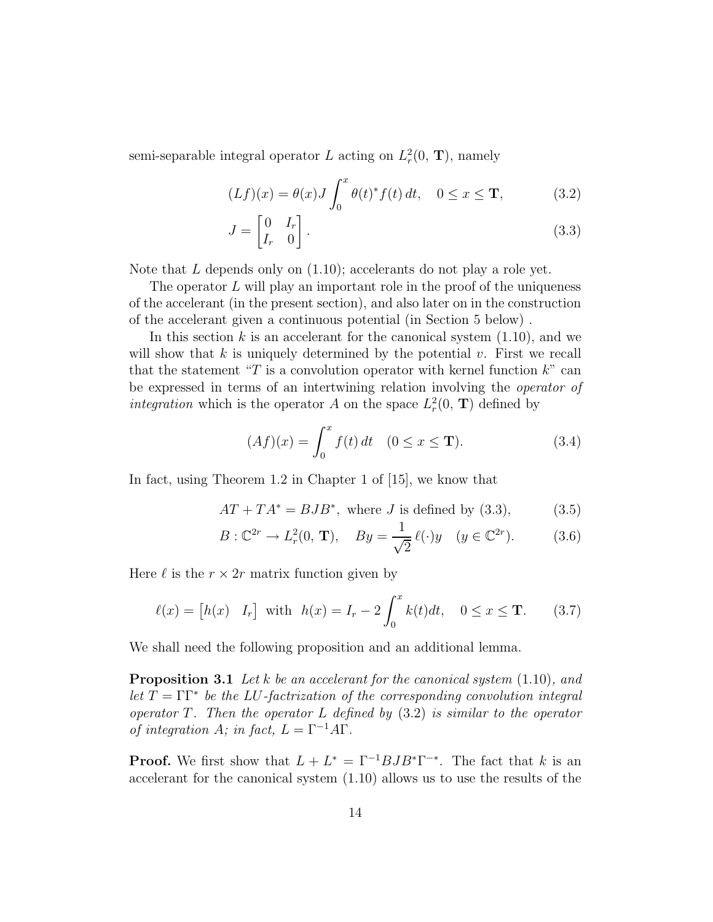semi-separable integral operator L acting on  $L^2_r(0, T)$ , namely

$$
(Lf)(x) = \theta(x)J \int_0^x \theta(t)^* f(t) dt, \quad 0 \le x \le \mathbf{T},
$$
\n(3.2)

$$
J = \begin{bmatrix} 0 & I_r \\ I_r & 0 \end{bmatrix} . \tag{3.3}
$$

Note that  $L$  depends only on  $(1.10)$ ; accelerants do not play a role yet.

The operator  $L$  will play an important role in the proof of the uniqueness of the accelerant (in the present section), and also later on in the construction of the accelerant given a continuous potential (in Section 5 below) .

In this section  $k$  is an accelerant for the canonical system  $(1.10)$ , and we will show that k is uniquely determined by the potential  $v$ . First we recall that the statement "T is a convolution operator with kernel function  $k$ " can be expressed in terms of an intertwining relation involving the operator of integration which is the operator A on the space  $L_r^2(0, T)$  defined by

$$
(Af)(x) = \int_0^x f(t) dt \quad (0 \le x \le \mathbf{T}).
$$
 (3.4)

In fact, using Theorem 1.2 in Chapter 1 of [15], we know that

$$
AT + TA^* = BJB^*,
$$
 where *J* is defined by (3.3), (3.5)

$$
B: \mathbb{C}^{2r} \to L_r^2(0, \mathbf{T}), \quad By = \frac{1}{\sqrt{2}} \ell(\cdot) y \quad (y \in \mathbb{C}^{2r}). \tag{3.6}
$$

Here  $\ell$  is the  $r \times 2r$  matrix function given by

$$
\ell(x) = [h(x) \quad I_r] \text{ with } h(x) = I_r - 2 \int_0^x k(t)dt, \quad 0 \le x \le T. \tag{3.7}
$$

We shall need the following proposition and an additional lemma.

**Proposition 3.1** Let k be an accelerant for the canonical system  $(1.10)$ , and let  $T = \Gamma \Gamma^*$  be the LU-factrization of the corresponding convolution integral operator  $T$ . Then the operator  $L$  defined by  $(3.2)$  is similar to the operator of integration A; in fact,  $L = \Gamma^{-1} A \Gamma$ .

**Proof.** We first show that  $L + L^* = \Gamma^{-1}BJB^*\Gamma^{-*}$ . The fact that k is an accelerant for the canonical system (1.10) allows us to use the results of the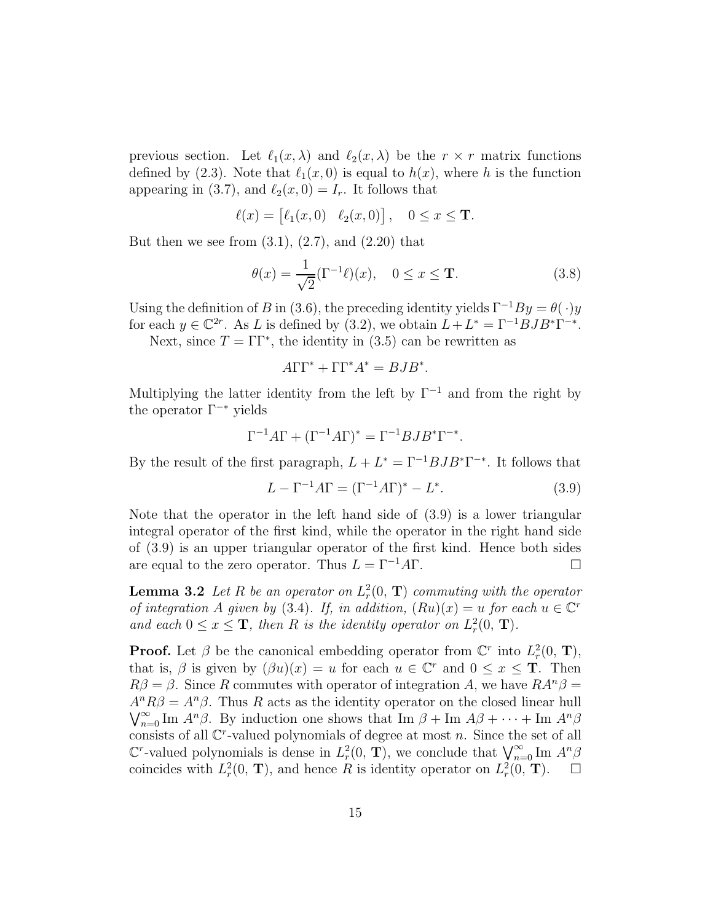previous section. Let  $\ell_1(x,\lambda)$  and  $\ell_2(x,\lambda)$  be the  $r \times r$  matrix functions defined by (2.3). Note that  $\ell_1(x,0)$  is equal to  $h(x)$ , where h is the function appearing in (3.7), and  $\ell_2(x,0) = I_r$ . It follows that

$$
\ell(x) = \begin{bmatrix} \ell_1(x,0) & \ell_2(x,0) \end{bmatrix}, \quad 0 \le x \le \mathbf{T}.
$$

But then we see from  $(3.1)$ ,  $(2.7)$ , and  $(2.20)$  that

$$
\theta(x) = \frac{1}{\sqrt{2}} (\Gamma^{-1} \ell)(x), \quad 0 \le x \le \mathbf{T}.
$$
\n(3.8)

Using the definition of B in (3.6), the preceding identity yields  $\Gamma^{-1}By = \theta(\cdot)y$ for each  $y \in \mathbb{C}^{2r}$ . As L is defined by (3.2), we obtain  $L + L^* = \Gamma^{-1}BJB^*\Gamma^{-*}$ .

Next, since  $T = \Gamma \Gamma^*$ , the identity in (3.5) can be rewritten as

$$
A\Gamma\Gamma^* + \Gamma\Gamma^* A^* = BJB^*.
$$

Multiplying the latter identity from the left by  $\Gamma^{-1}$  and from the right by the operator  $\Gamma^{-*}$  yields

$$
\Gamma^{-1}A\Gamma + (\Gamma^{-1}A\Gamma)^* = \Gamma^{-1}BJB^*\Gamma^{-*}.
$$

By the result of the first paragraph,  $L + L^* = \Gamma^{-1}BJB^*\Gamma^{-*}$ . It follows that

$$
L - \Gamma^{-1} A \Gamma = (\Gamma^{-1} A \Gamma)^{*} - L^{*}.
$$
\n(3.9)

Note that the operator in the left hand side of (3.9) is a lower triangular integral operator of the first kind, while the operator in the right hand side of (3.9) is an upper triangular operator of the first kind. Hence both sides are equal to the zero operator. Thus  $L = \Gamma^{-1} A \Gamma$ .

**Lemma 3.2** Let R be an operator on  $L_r^2(0, T)$  commuting with the operator of integration A given by (3.4). If, in addition,  $(Ru)(x) = u$  for each  $u \in \mathbb{C}^r$ and each  $0 \le x \le \mathbf{T}$ , then R is the identity operator on  $L_r^2(0, \mathbf{T})$ .

**Proof.** Let  $\beta$  be the canonical embedding operator from  $\mathbb{C}^r$  into  $L_r^2(0, T)$ , that is,  $\beta$  is given by  $(\beta u)(x) = u$  for each  $u \in \mathbb{C}^r$  and  $0 \le x \le \mathbf{T}$ . Then  $R\beta = \beta$ . Since R commutes with operator of integration A, we have  $R A^n \beta =$  $A<sup>n</sup>R\beta = A<sup>n</sup>\beta$ . Thus R acts as the identity operator on the closed linear hull  $\bigvee_{n=0}^{\infty}$  Im  $A^n\beta$ . By induction one shows that Im  $\beta +$  Im  $A\beta + \cdots +$  Im  $A^n\beta$ consists of all  $\mathbb{C}^r$ -valued polynomials of degree at most n. Since the set of all  $\mathbb{C}^r$ -valued polynomials is dense in  $L_r^2(0, T)$ , we conclude that  $\bigvee_{n=0}^{\infty} \text{Im } A^n \beta$ coincides with  $L_r^2(0, T)$ , and hence R is identity operator on  $L_r^2(0, T)$ .  $\Box$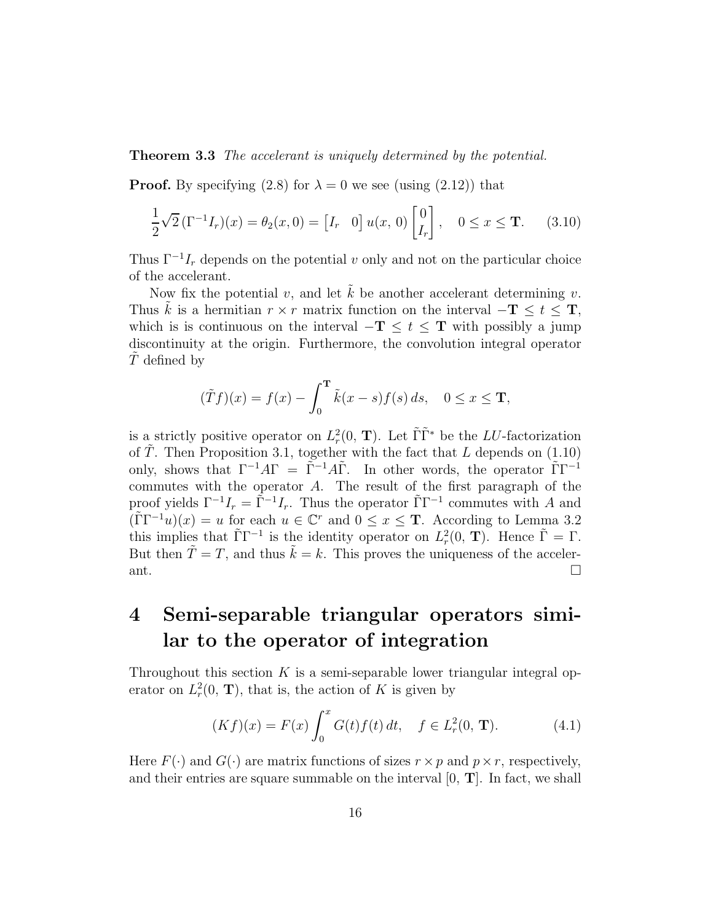#### Theorem 3.3 The accelerant is uniquely determined by the potential.

**Proof.** By specifying (2.8) for  $\lambda = 0$  we see (using (2.12)) that

$$
\frac{1}{2}\sqrt{2}\left(\Gamma^{-1}I_r\right)(x) = \theta_2(x,0) = \begin{bmatrix}I_r & 0\end{bmatrix}u(x,0)\begin{bmatrix}0\\I_r\end{bmatrix}, \quad 0 \le x \le \mathbf{T}.\tag{3.10}
$$

Thus  $\Gamma^{-1}I_r$  depends on the potential v only and not on the particular choice of the accelerant.

Now fix the potential v, and let  $\hat{k}$  be another accelerant determining v. Thus k is a hermitian  $r \times r$  matrix function on the interval  $-\mathbf{T} \leq t \leq \mathbf{T}$ , which is is continuous on the interval  $-\mathbf{T} \leq t \leq \mathbf{T}$  with possibly a jump discontinuity at the origin. Furthermore, the convolution integral operator  $T$  defined by

$$
(\tilde Tf)(x) = f(x) - \int_0^{\mathbf{T}} \tilde k(x - s) f(s) \, ds, \quad 0 \le x \le \mathbf{T},
$$

is a strictly positive operator on  $L_r^2(0, T)$ . Let  $\tilde{\Gamma} \tilde{\Gamma}^*$  be the LU-factorization of  $\tilde{T}$ . Then Proposition 3.1, together with the fact that L depends on (1.10) only, shows that  $\Gamma^{-1}A\Gamma = \tilde{\Gamma}^{-1}A\tilde{\Gamma}$ . In other words, the operator  $\tilde{\Gamma}\Gamma^{-1}$ commutes with the operator A. The result of the first paragraph of the proof yields  $\Gamma^{-1}I_r = \tilde{\Gamma}^{-1}I_r$ . Thus the operator  $\tilde{\Gamma}\Gamma^{-1}$  commutes with A and  $(\tilde{\Gamma}\Gamma^{-1}u)(x) = u$  for each  $u \in \mathbb{C}^r$  and  $0 \le x \le T$ . According to Lemma 3.2 this implies that  $\tilde{\Gamma}\Gamma^{-1}$  is the identity operator on  $L_r^2(0, T)$ . Hence  $\tilde{\Gamma} = \Gamma$ . But then  $\tilde{T} = T$ , and thus  $\tilde{k} = k$ . This proves the uniqueness of the accelerant.

## 4 Semi-separable triangular operators similar to the operator of integration

Throughout this section  $K$  is a semi-separable lower triangular integral operator on  $L_r^2(0, T)$ , that is, the action of K is given by

$$
(Kf)(x) = F(x) \int_0^x G(t)f(t) dt, \quad f \in L^2_r(0, \mathbf{T}).
$$
 (4.1)

Here  $F(\cdot)$  and  $G(\cdot)$  are matrix functions of sizes  $r \times p$  and  $p \times r$ , respectively, and their entries are square summable on the interval  $[0, T]$ . In fact, we shall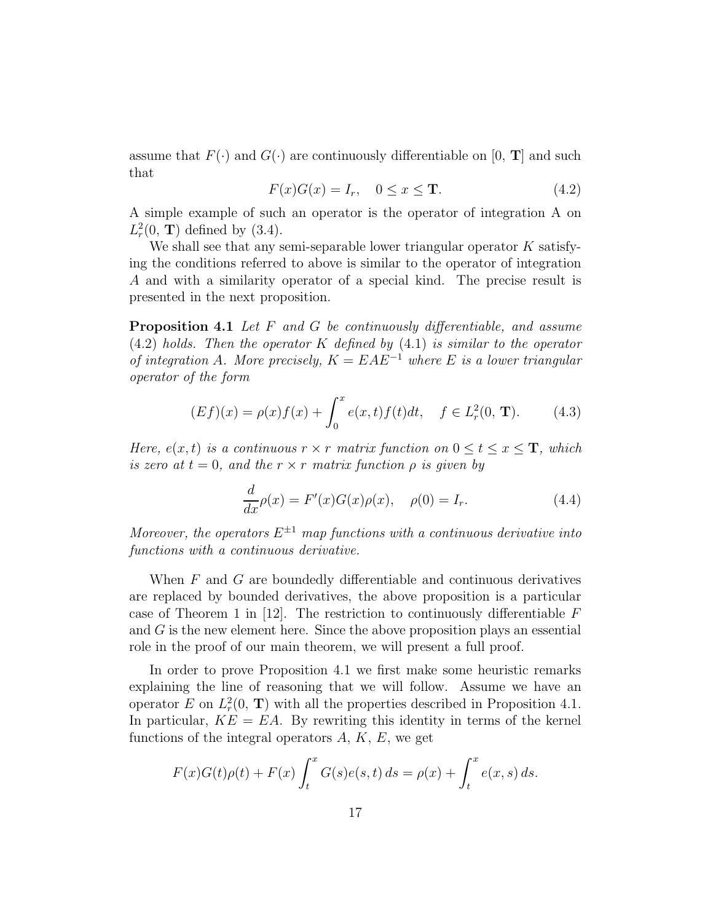assume that  $F(\cdot)$  and  $G(\cdot)$  are continuously differentiable on [0, **T**] and such that

$$
F(x)G(x) = I_r, \quad 0 \le x \le T.
$$
\n
$$
(4.2)
$$

A simple example of such an operator is the operator of integration A on  $L_r^2(0, T)$  defined by (3.4).

We shall see that any semi-separable lower triangular operator  $K$  satisfying the conditions referred to above is similar to the operator of integration A and with a similarity operator of a special kind. The precise result is presented in the next proposition.

Proposition 4.1 Let F and G be continuously differentiable, and assume  $(4.2)$  holds. Then the operator K defined by  $(4.1)$  is similar to the operator of integration A. More precisely,  $K = EAE^{-1}$  where E is a lower triangular operator of the form

$$
(Ef)(x) = \rho(x)f(x) + \int_0^x e(x, t)f(t)dt, \quad f \in L^2_r(0, \mathbf{T}).
$$
 (4.3)

Here,  $e(x, t)$  is a continuous  $r \times r$  matrix function on  $0 \le t \le x \le T$ , which is zero at  $t = 0$ , and the  $r \times r$  matrix function  $\rho$  is given by

$$
\frac{d}{dx}\rho(x) = F'(x)G(x)\rho(x), \quad \rho(0) = I_r.
$$
\n(4.4)

Moreover, the operators  $E^{\pm 1}$  map functions with a continuous derivative into functions with a continuous derivative.

When  $F$  and  $G$  are boundedly differentiable and continuous derivatives are replaced by bounded derivatives, the above proposition is a particular case of Theorem 1 in [12]. The restriction to continuously differentiable  $F$ and G is the new element here. Since the above proposition plays an essential role in the proof of our main theorem, we will present a full proof.

In order to prove Proposition 4.1 we first make some heuristic remarks explaining the line of reasoning that we will follow. Assume we have an operator E on  $L_r^2(0, T)$  with all the properties described in Proposition 4.1. In particular,  $KE = EA$ . By rewriting this identity in terms of the kernel functions of the integral operators  $A, K, E$ , we get

$$
F(x)G(t)\rho(t) + F(x)\int_{t}^{x} G(s)e(s,t) \, ds = \rho(x) + \int_{t}^{x} e(x,s) \, ds.
$$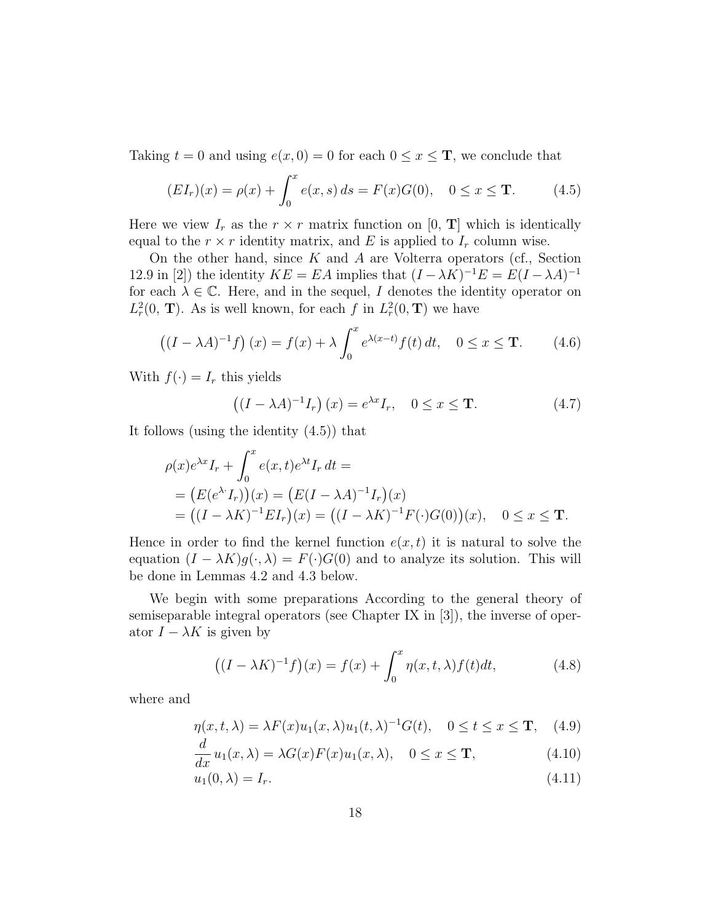Taking  $t = 0$  and using  $e(x, 0) = 0$  for each  $0 \le x \le T$ , we conclude that

$$
(EI_r)(x) = \rho(x) + \int_0^x e(x, s) ds = F(x)G(0), \quad 0 \le x \le T.
$$
 (4.5)

Here we view  $I_r$  as the  $r \times r$  matrix function on [0, **T**] which is identically equal to the  $r \times r$  identity matrix, and E is applied to  $I_r$  column wise.

On the other hand, since  $K$  and  $A$  are Volterra operators (cf., Section 12.9 in [2]) the identity  $KE = EA$  implies that  $(I - \lambda K)^{-1}E = E(I - \lambda A)^{-1}$ for each  $\lambda \in \mathbb{C}$ . Here, and in the sequel, I denotes the identity operator on  $L_r^2(0, T)$ . As is well known, for each f in  $L_r^2(0, T)$  we have

$$
\left((I - \lambda A)^{-1}f\right)(x) = f(x) + \lambda \int_0^x e^{\lambda(x-t)} f(t) dt, \quad 0 \le x \le \mathbf{T}.
$$
 (4.6)

With  $f(\cdot) = I_r$  this yields

$$
\left((I - \lambda A)^{-1}I_r\right)(x) = e^{\lambda x}I_r, \quad 0 \le x \le \mathbf{T}.
$$
 (4.7)

It follows (using the identity (4.5)) that

$$
\rho(x)e^{\lambda x}I_r + \int_0^x e(x,t)e^{\lambda t}I_r dt =
$$
  
=  $(E(e^{\lambda}I_r))(x) = (E(I - \lambda A)^{-1}I_r)(x)$   
=  $((I - \lambda K)^{-1}EI_r)(x) = ((I - \lambda K)^{-1}F(\cdot)G(0))(x), \quad 0 \le x \le \mathbf{T}.$ 

Hence in order to find the kernel function  $e(x, t)$  it is natural to solve the equation  $(I - \lambda K)g(\cdot, \lambda) = F(\cdot)G(0)$  and to analyze its solution. This will be done in Lemmas 4.2 and 4.3 below.

We begin with some preparations According to the general theory of semiseparable integral operators (see Chapter IX in [3]), the inverse of operator  $I - \lambda K$  is given by

$$
((I - \lambda K)^{-1}f)(x) = f(x) + \int_0^x \eta(x, t, \lambda) f(t) dt,
$$
\n(4.8)

where and

$$
\eta(x, t, \lambda) = \lambda F(x) u_1(x, \lambda) u_1(t, \lambda)^{-1} G(t), \quad 0 \le t \le x \le \mathbf{T}, \quad (4.9)
$$

$$
\frac{d}{dx}u_1(x,\lambda) = \lambda G(x)F(x)u_1(x,\lambda), \quad 0 \le x \le \mathbf{T},
$$
\n(4.10)

$$
u_1(0,\lambda) = I_r. \tag{4.11}
$$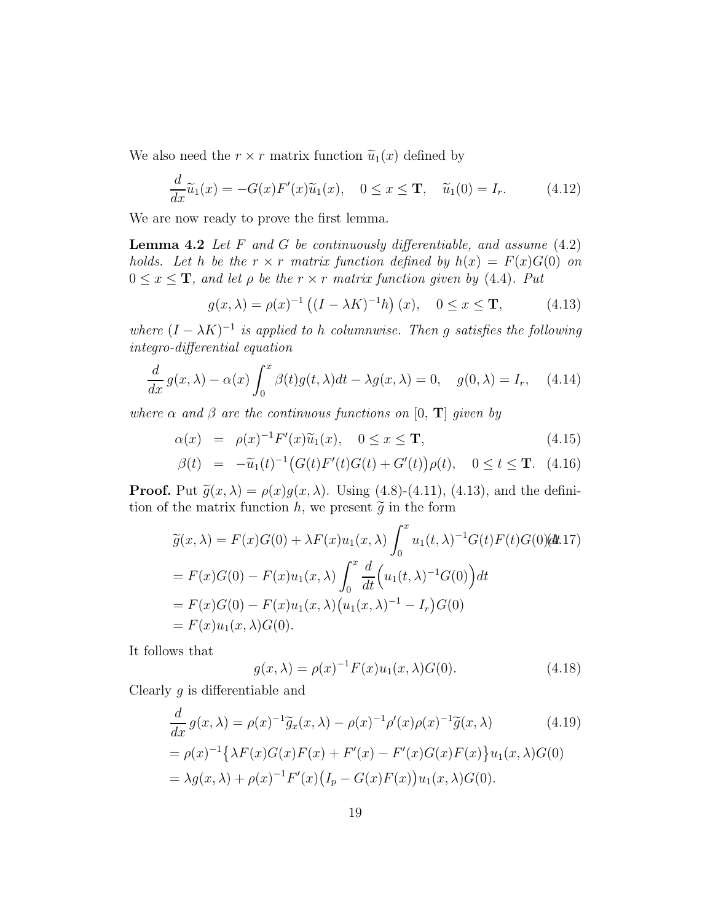We also need the  $r \times r$  matrix function  $\tilde{u}_1(x)$  defined by

$$
\frac{d}{dx}\widetilde{u}_1(x) = -G(x)F'(x)\widetilde{u}_1(x), \quad 0 \le x \le \mathbf{T}, \quad \widetilde{u}_1(0) = I_r.
$$
 (4.12)

We are now ready to prove the first lemma.

**Lemma 4.2** Let F and G be continuously differentiable, and assume  $(4.2)$ holds. Let h be the  $r \times r$  matrix function defined by  $h(x) = F(x)G(0)$  on  $0 \leq x \leq T$ , and let  $\rho$  be the  $r \times r$  matrix function given by (4.4). Put

$$
g(x,\lambda) = \rho(x)^{-1} ((I - \lambda K)^{-1}h)(x), \quad 0 \le x \le \mathbf{T},
$$
 (4.13)

where  $(I - \lambda K)^{-1}$  is applied to h columnwise. Then g satisfies the following integro-differential equation

$$
\frac{d}{dx}g(x,\lambda) - \alpha(x)\int_0^x \beta(t)g(t,\lambda)dt - \lambda g(x,\lambda) = 0, \quad g(0,\lambda) = I_r, \quad (4.14)
$$

where  $\alpha$  and  $\beta$  are the continuous functions on [0, **T**] given by

$$
\alpha(x) = \rho(x)^{-1} F'(x) \widetilde{u}_1(x), \quad 0 \le x \le \mathbf{T}, \tag{4.15}
$$

$$
\beta(t) = -\tilde{u}_1(t)^{-1} \big( G(t) F'(t) G(t) + G'(t) \big) \rho(t), \quad 0 \le t \le T. \tag{4.16}
$$

**Proof.** Put  $\tilde{g}(x, \lambda) = \rho(x)g(x, \lambda)$ . Using (4.8)-(4.11), (4.13), and the definition of the matrix function h, we present  $\tilde{g}$  in the form

$$
\widetilde{g}(x,\lambda) = F(x)G(0) + \lambda F(x)u_1(x,\lambda)\int_0^x u_1(t,\lambda)^{-1}G(t)F(t)G(0)(dt.17)
$$
  
=  $F(x)G(0) - F(x)u_1(x,\lambda)\int_0^x \frac{d}{dt}\Big(u_1(t,\lambda)^{-1}G(0)\Big)dt$   
=  $F(x)G(0) - F(x)u_1(x,\lambda)\Big(u_1(x,\lambda)^{-1} - I_r\Big)G(0)$   
=  $F(x)u_1(x,\lambda)G(0).$ 

It follows that

$$
g(x,\lambda) = \rho(x)^{-1} F(x) u_1(x,\lambda) G(0).
$$
 (4.18)

Clearly  $g$  is differentiable and

$$
\frac{d}{dx}g(x,\lambda) = \rho(x)^{-1}\tilde{g}_x(x,\lambda) - \rho(x)^{-1}\rho'(x)\rho(x)^{-1}\tilde{g}(x,\lambda)
$$
(4.19)  
=  $\rho(x)^{-1}\{\lambda F(x)G(x)F(x) + F'(x) - F'(x)G(x)F(x)\}u_1(x,\lambda)G(0)$   
=  $\lambda g(x,\lambda) + \rho(x)^{-1}F'(x)\big(I_p - G(x)F(x)\big)u_1(x,\lambda)G(0).$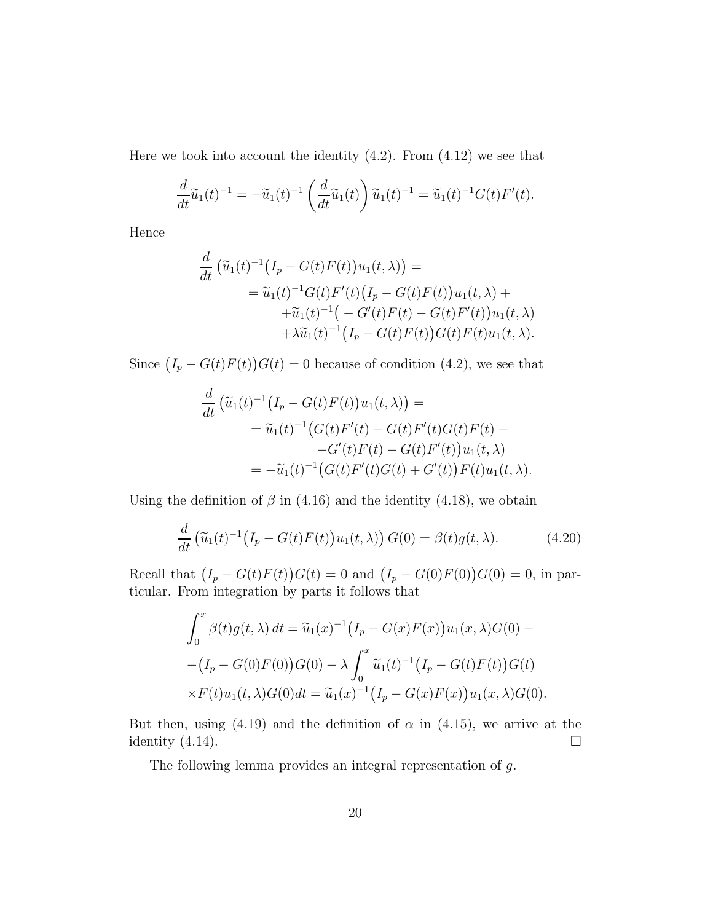Here we took into account the identity  $(4.2)$ . From  $(4.12)$  we see that

$$
\frac{d}{dt}\widetilde{u}_1(t)^{-1} = -\widetilde{u}_1(t)^{-1}\left(\frac{d}{dt}\widetilde{u}_1(t)\right)\widetilde{u}_1(t)^{-1} = \widetilde{u}_1(t)^{-1}G(t)F'(t).
$$

Hence

$$
\frac{d}{dt} \left( \tilde{u}_1(t)^{-1} (I_p - G(t)F(t)) u_1(t, \lambda) \right) =
$$
\n
$$
= \tilde{u}_1(t)^{-1} G(t)F'(t) (I_p - G(t)F(t)) u_1(t, \lambda) +
$$
\n
$$
+ \tilde{u}_1(t)^{-1} \left( -G'(t)F(t) - G(t)F'(t) \right) u_1(t, \lambda) + \lambda \tilde{u}_1(t)^{-1} \left( I_p - G(t)F(t) \right) G(t)F(t) u_1(t, \lambda).
$$

Since  $(I_p - G(t)F(t))G(t) = 0$  because of condition (4.2), we see that

$$
\frac{d}{dt} \left( \tilde{u}_1(t)^{-1} (I_p - G(t)F(t)) u_1(t, \lambda) \right) =
$$
\n
$$
= \tilde{u}_1(t)^{-1} (G(t)F'(t) - G(t)F'(t)G(t)F(t) -
$$
\n
$$
-G'(t)F(t) - G(t)F'(t)u_1(t, \lambda)
$$
\n
$$
= -\tilde{u}_1(t)^{-1} (G(t)F'(t)G(t) + G'(t))F(t)u_1(t, \lambda).
$$

Using the definition of  $\beta$  in (4.16) and the identity (4.18), we obtain

$$
\frac{d}{dt}\left(\widetilde{u}_1(t)^{-1}\big(I_p - G(t)F(t)\big)u_1(t,\lambda)\right)G(0) = \beta(t)g(t,\lambda). \tag{4.20}
$$

Recall that  $(I_p - G(t)F(t))G(t) = 0$  and  $(I_p - G(0)F(0))G(0) = 0$ , in particular. From integration by parts it follows that

$$
\int_0^x \beta(t)g(t,\lambda) dt = \tilde{u}_1(x)^{-1} (I_p - G(x)F(x))u_1(x,\lambda)G(0) -
$$
  
-(I\_p - G(0)F(0))G(0) -  $\lambda \int_0^x \tilde{u}_1(t)^{-1} (I_p - G(t)F(t))G(t)$   
 $\times F(t)u_1(t,\lambda)G(0)dt = \tilde{u}_1(x)^{-1} (I_p - G(x)F(x))u_1(x,\lambda)G(0).$ 

But then, using (4.19) and the definition of  $\alpha$  in (4.15), we arrive at the identity  $(4.14)$ .

The following lemma provides an integral representation of g.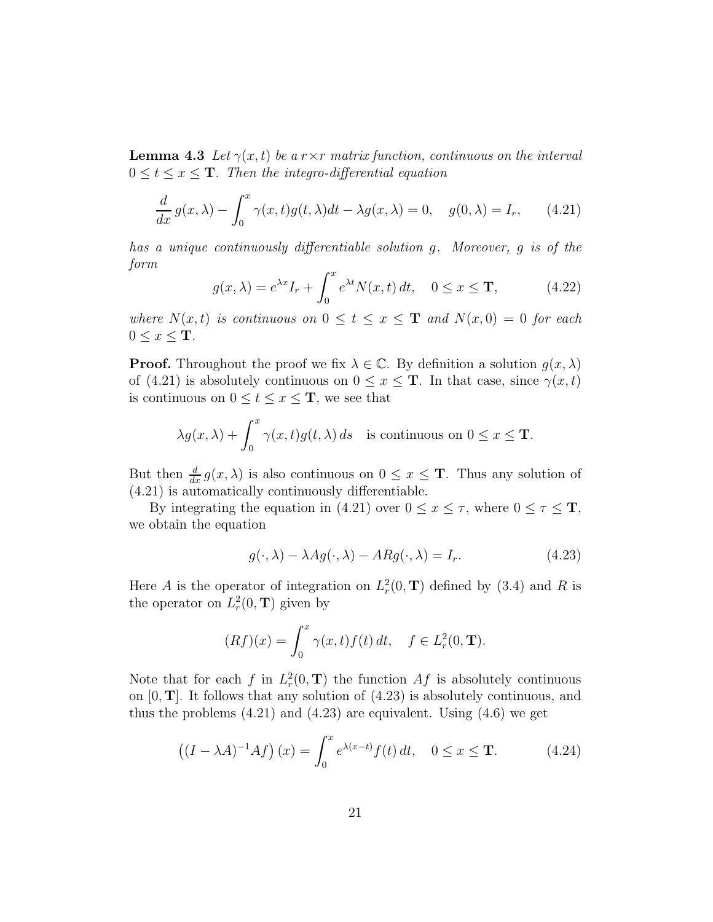**Lemma 4.3** Let  $\gamma(x,t)$  be a r  $\times r$  matrix function, continuous on the interval  $0 \leq t \leq x \leq T$ . Then the integro-differential equation

$$
\frac{d}{dx}g(x,\lambda) - \int_0^x \gamma(x,t)g(t,\lambda)dt - \lambda g(x,\lambda) = 0, \quad g(0,\lambda) = I_r,
$$
\n(4.21)

has a unique continuously differentiable solution g. Moreover, g is of the form

$$
g(x,\lambda) = e^{\lambda x} I_r + \int_0^x e^{\lambda t} N(x,t) dt, \quad 0 \le x \le T,
$$
 (4.22)

where  $N(x,t)$  is continuous on  $0 \le t \le x \le T$  and  $N(x,0) = 0$  for each  $0 \leq x \leq T$ .

**Proof.** Throughout the proof we fix  $\lambda \in \mathbb{C}$ . By definition a solution  $g(x, \lambda)$ of (4.21) is absolutely continuous on  $0 \le x \le T$ . In that case, since  $\gamma(x, t)$ is continuous on  $0 \le t \le x \le T$ , we see that

$$
\lambda g(x,\lambda) + \int_0^x \gamma(x,t)g(t,\lambda) \, ds \quad \text{is continuous on } 0 \le x \le \mathbf{T}.
$$

But then  $\frac{d}{dx} g(x, \lambda)$  is also continuous on  $0 \leq x \leq T$ . Thus any solution of (4.21) is automatically continuously differentiable.

By integrating the equation in (4.21) over  $0 \le x \le \tau$ , where  $0 \le \tau \le \mathbf{T}$ , we obtain the equation

$$
g(\cdot, \lambda) - \lambda Ag(\cdot, \lambda) - ARg(\cdot, \lambda) = I_r.
$$
 (4.23)

Here A is the operator of integration on  $L_r^2(0, T)$  defined by (3.4) and R is the operator on  $L_r^2(0, T)$  given by

$$
(Rf)(x) = \int_0^x \gamma(x, t) f(t) dt, \quad f \in L^2_r(0, \mathbf{T}).
$$

Note that for each f in  $L_r^2(0, T)$  the function  $Af$  is absolutely continuous on  $[0, T]$ . It follows that any solution of  $(4.23)$  is absolutely continuous, and thus the problems  $(4.21)$  and  $(4.23)$  are equivalent. Using  $(4.6)$  we get

$$
\left((I - \lambda A)^{-1}Af\right)(x) = \int_0^x e^{\lambda(x-t)}f(t) dt, \quad 0 \le x \le \mathbf{T}.
$$
 (4.24)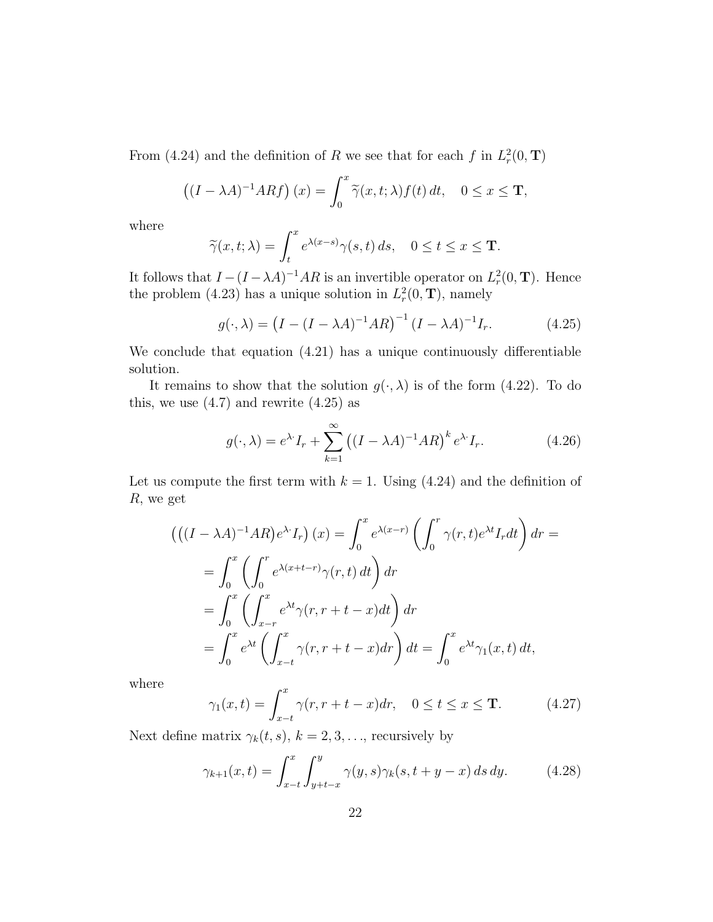From (4.24) and the definition of R we see that for each f in  $L_r^2(0, T)$ 

$$
((I - \lambda A)^{-1}ARf)(x) = \int_0^x \widetilde{\gamma}(x, t; \lambda) f(t) dt, \quad 0 \le x \le \mathbf{T},
$$

where

$$
\widetilde{\gamma}(x,t;\lambda) = \int_t^x e^{\lambda(x-s)} \gamma(s,t) \, ds, \quad 0 \le t \le x \le \mathbf{T}.
$$

It follows that  $I - (I - \lambda A)^{-1}AR$  is an invertible operator on  $L_r^2(0, T)$ . Hence the problem (4.23) has a unique solution in  $L_r^2(0, T)$ , namely

$$
g(\cdot, \lambda) = (I - (I - \lambda A)^{-1}AR)^{-1} (I - \lambda A)^{-1} I_r.
$$
 (4.25)

We conclude that equation (4.21) has a unique continuously differentiable solution.

It remains to show that the solution  $g(\cdot, \lambda)$  is of the form (4.22). To do this, we use  $(4.7)$  and rewrite  $(4.25)$  as

$$
g(\cdot,\lambda) = e^{\lambda \cdot} I_r + \sum_{k=1}^{\infty} \left( (I - \lambda A)^{-1} A R \right)^k e^{\lambda \cdot} I_r.
$$
 (4.26)

Let us compute the first term with  $k = 1$ . Using (4.24) and the definition of R, we get

$$
\begin{split}\n&\left(\left((I-\lambda A)^{-1}AR\right)e^{\lambda \cdot}I_r\right)(x) = \int_0^x e^{\lambda(x-r)} \left(\int_0^r \gamma(r,t)e^{\lambda t}I_r dt\right) dr \\
&= \int_0^x \left(\int_0^r e^{\lambda(x+t-r)} \gamma(r,t) dt\right) dr \\
&= \int_0^x \left(\int_{x-r}^x e^{\lambda t} \gamma(r,r+t-x) dt\right) dr \\
&= \int_0^x e^{\lambda t} \left(\int_{x-t}^x \gamma(r,r+t-x) dr\right) dt = \int_0^x e^{\lambda t} \gamma_1(x,t) dt,\n\end{split}
$$

where

$$
\gamma_1(x,t) = \int_{x-t}^x \gamma(r, r+t-x) dr, \quad 0 \le t \le x \le \mathbf{T}.
$$
 (4.27)

Next define matrix  $\gamma_k(t, s)$ ,  $k = 2, 3, \ldots$ , recursively by

$$
\gamma_{k+1}(x,t) = \int_{x-t}^{x} \int_{y+t-x}^{y} \gamma(y,s) \gamma_k(s, t+y-x) \, ds \, dy. \tag{4.28}
$$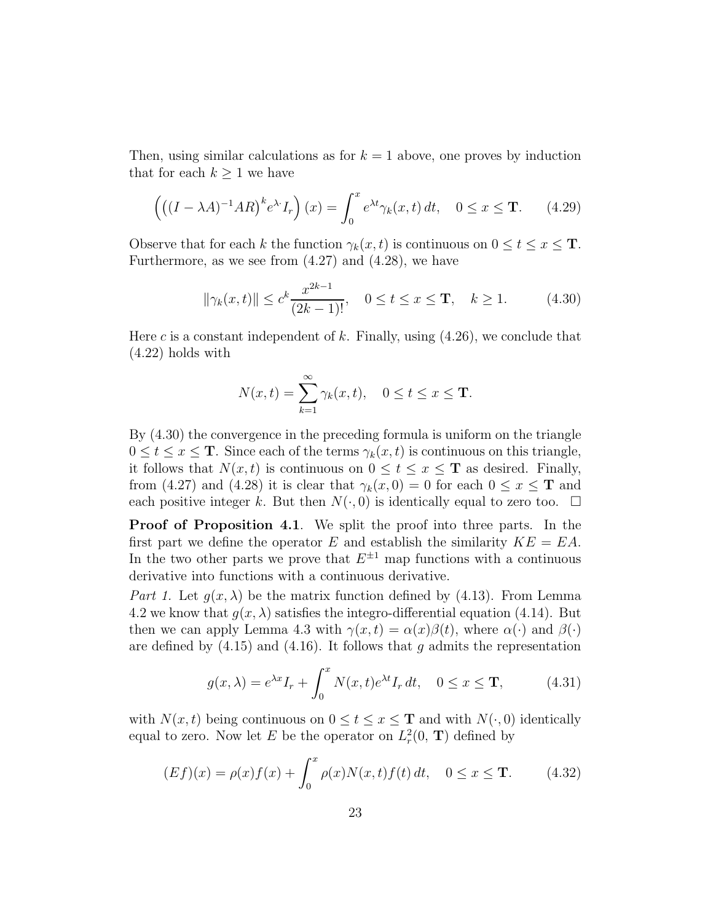Then, using similar calculations as for  $k = 1$  above, one proves by induction that for each  $k \geq 1$  we have

$$
\left( \left( (I - \lambda A)^{-1} A R \right)^k e^{\lambda \cdot} I_r \right) (x) = \int_0^x e^{\lambda t} \gamma_k(x, t) dt, \quad 0 \le x \le \mathbf{T}.
$$
 (4.29)

Observe that for each k the function  $\gamma_k(x, t)$  is continuous on  $0 \le t \le x \le T$ . Furthermore, as we see from  $(4.27)$  and  $(4.28)$ , we have

$$
\|\gamma_k(x,t)\| \le c^k \frac{x^{2k-1}}{(2k-1)!}, \quad 0 \le t \le x \le \mathbf{T}, \quad k \ge 1.
$$
 (4.30)

Here c is a constant independent of k. Finally, using  $(4.26)$ , we conclude that (4.22) holds with

$$
N(x,t) = \sum_{k=1}^{\infty} \gamma_k(x,t), \quad 0 \le t \le x \le \mathbf{T}.
$$

By (4.30) the convergence in the preceding formula is uniform on the triangle  $0 \le t \le x \le T$ . Since each of the terms  $\gamma_k(x, t)$  is continuous on this triangle, it follows that  $N(x, t)$  is continuous on  $0 \le t \le x \le T$  as desired. Finally, from (4.27) and (4.28) it is clear that  $\gamma_k(x, 0) = 0$  for each  $0 \le x \le T$  and each positive integer k. But then  $N(\cdot, 0)$  is identically equal to zero too.  $\Box$ 

**Proof of Proposition 4.1.** We split the proof into three parts. In the first part we define the operator E and establish the similarity  $KE = EA$ . In the two other parts we prove that  $E^{\pm 1}$  map functions with a continuous derivative into functions with a continuous derivative.

Part 1. Let  $g(x, \lambda)$  be the matrix function defined by (4.13). From Lemma 4.2 we know that  $g(x, \lambda)$  satisfies the integro-differential equation (4.14). But then we can apply Lemma 4.3 with  $\gamma(x, t) = \alpha(x)\beta(t)$ , where  $\alpha(\cdot)$  and  $\beta(\cdot)$ are defined by  $(4.15)$  and  $(4.16)$ . It follows that g admits the representation

$$
g(x,\lambda) = e^{\lambda x} I_r + \int_0^x N(x,t)e^{\lambda t} I_r dt, \quad 0 \le x \le \mathbf{T},
$$
 (4.31)

with  $N(x, t)$  being continuous on  $0 \le t \le x \le T$  and with  $N(\cdot, 0)$  identically equal to zero. Now let E be the operator on  $L_r^2(0, T)$  defined by

$$
(Ef)(x) = \rho(x)f(x) + \int_0^x \rho(x)N(x,t)f(t) dt, \quad 0 \le x \le \mathbf{T}.
$$
 (4.32)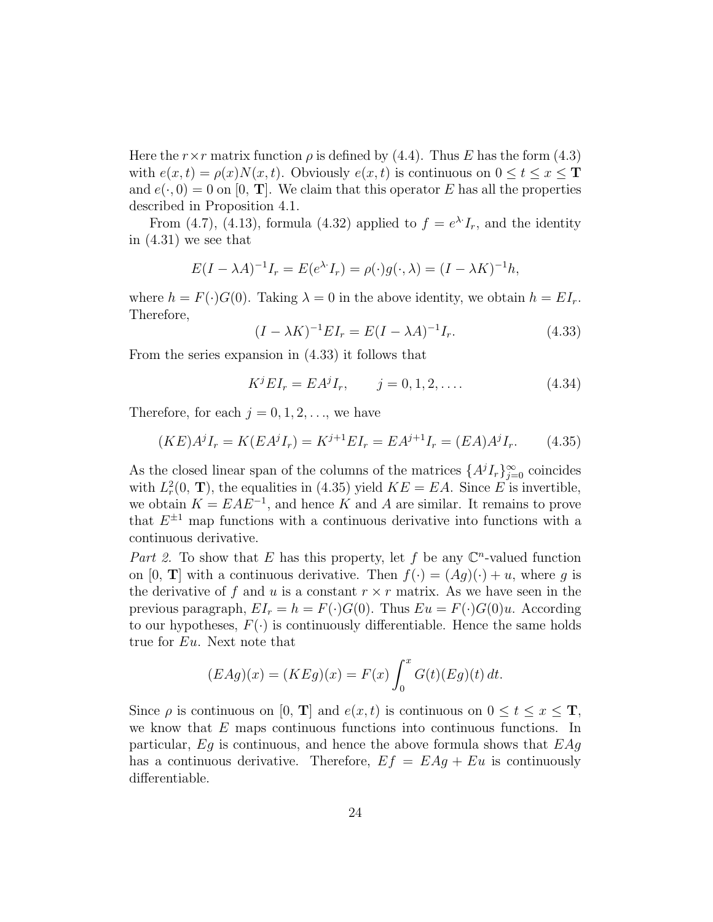Here the  $r \times r$  matrix function  $\rho$  is defined by (4.4). Thus E has the form (4.3) with  $e(x, t) = \rho(x)N(x, t)$ . Obviously  $e(x, t)$  is continuous on  $0 \le t \le x \le T$ and  $e(\cdot, 0) = 0$  on [0, **T**]. We claim that this operator E has all the properties described in Proposition 4.1.

From (4.7), (4.13), formula (4.32) applied to  $f = e^{\lambda t} I_r$ , and the identity in (4.31) we see that

$$
E(I - \lambda A)^{-1}I_r = E(e^{\lambda \cdot} I_r) = \rho(\cdot)g(\cdot, \lambda) = (I - \lambda K)^{-1}h,
$$

where  $h = F(\cdot)G(0)$ . Taking  $\lambda = 0$  in the above identity, we obtain  $h = EI_r$ . Therefore,

$$
(I - \lambda K)^{-1} E I_r = E(I - \lambda A)^{-1} I_r.
$$
 (4.33)

From the series expansion in (4.33) it follows that

$$
K^{j}EI_{r} = EA^{j}I_{r}, \qquad j = 0, 1, 2, \dots
$$
\n(4.34)

Therefore, for each  $j = 0, 1, 2, \ldots$ , we have

$$
(KE)A^{j}I_{r} = K(EA^{j}I_{r}) = K^{j+1}EI_{r} = EA^{j+1}I_{r} = (EA)A^{j}I_{r}.
$$
 (4.35)

As the closed linear span of the columns of the matrices  $\{A^{j}I_{r}\}_{j=0}^{\infty}$  coincides with  $L_r^2(0, T)$ , the equalities in (4.35) yield  $KE = EA$ . Since E is invertible, we obtain  $K = EAE^{-1}$ , and hence K and A are similar. It remains to prove that  $E^{\pm 1}$  map functions with a continuous derivative into functions with a continuous derivative.

Part 2. To show that E has this property, let f be any  $\mathbb{C}^n$ -valued function on  $[0, T]$  with a continuous derivative. Then  $f(\cdot) = (Ag)(\cdot) + u$ , where g is the derivative of f and u is a constant  $r \times r$  matrix. As we have seen in the previous paragraph,  $EI_r = h = F(\cdot)G(0)$ . Thus  $Eu = F(\cdot)G(0)u$ . According to our hypotheses,  $F(\cdot)$  is continuously differentiable. Hence the same holds true for Eu. Next note that

$$
(EAg)(x) = (KEg)(x) = F(x) \int_0^x G(t)(Eg)(t) dt.
$$

Since  $\rho$  is continuous on [0, T] and  $e(x, t)$  is continuous on  $0 \le t \le x \le T$ , we know that E maps continuous functions into continuous functions. In particular,  $Eg$  is continuous, and hence the above formula shows that  $EAg$ has a continuous derivative. Therefore,  $Ef = EAg + Eu$  is continuously differentiable.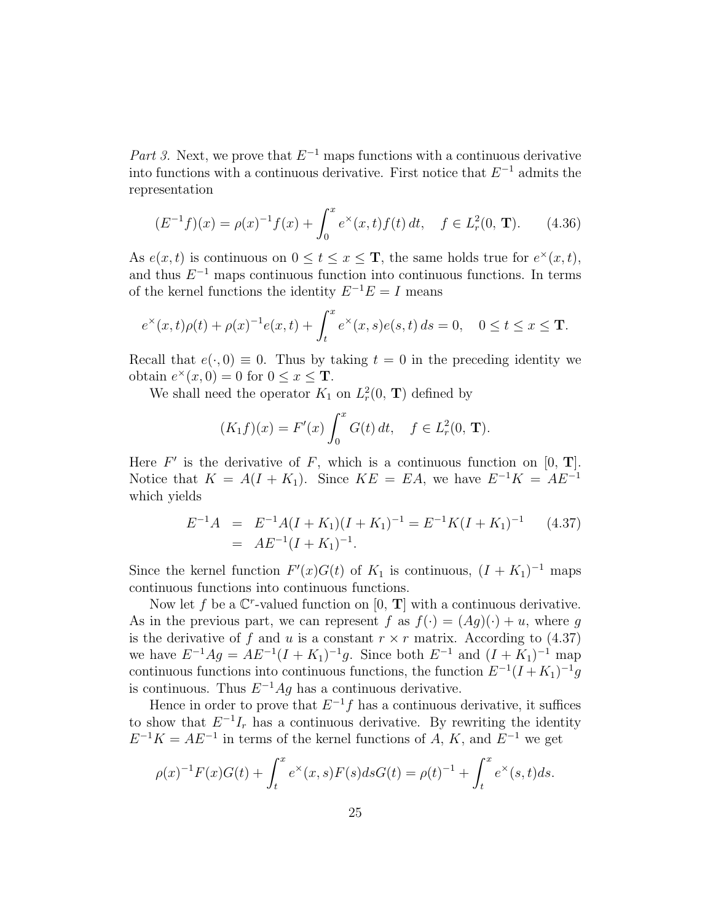Part 3. Next, we prove that  $E^{-1}$  maps functions with a continuous derivative into functions with a continuous derivative. First notice that  $E^{-1}$  admits the representation

$$
(E^{-1}f)(x) = \rho(x)^{-1}f(x) + \int_0^x e^x(x,t)f(t) dt, \quad f \in L^2_r(0, \mathbf{T}). \tag{4.36}
$$

As  $e(x, t)$  is continuous on  $0 \le t \le x \le T$ , the same holds true for  $e^{\times}(x, t)$ , and thus  $E^{-1}$  maps continuous function into continuous functions. In terms of the kernel functions the identity  $E^{-1}E = I$  means

$$
e^{\times}(x,t)\rho(t) + \rho(x)^{-1}e(x,t) + \int_{t}^{x} e^{\times}(x,s)e(s,t) ds = 0, \quad 0 \le t \le x \le \mathbf{T}.
$$

Recall that  $e(\cdot, 0) \equiv 0$ . Thus by taking  $t = 0$  in the preceding identity we obtain  $e^{\times}(x, 0) = 0$  for  $0 \le x \le$  **T**.

We shall need the operator  $K_1$  on  $L_r^2(0, T)$  defined by

$$
(K_1 f)(x) = F'(x) \int_0^x G(t) dt, \quad f \in L^2_r(0, \mathbf{T}).
$$

Here  $F'$  is the derivative of F, which is a continuous function on  $[0, T]$ . Notice that  $K = A(I + K_1)$ . Since  $KE = EA$ , we have  $E^{-1}K = AE^{-1}$ which yields

$$
E^{-1}A = E^{-1}A(I + K_1)(I + K_1)^{-1} = E^{-1}K(I + K_1)^{-1}
$$
 (4.37)  
= 
$$
AE^{-1}(I + K_1)^{-1}.
$$

Since the kernel function  $F'(x)G(t)$  of  $K_1$  is continuous,  $(I + K_1)^{-1}$  maps continuous functions into continuous functions.

Now let f be a  $\mathbb{C}^r$ -valued function on  $[0, T]$  with a continuous derivative. As in the previous part, we can represent f as  $f(\cdot) = (Ag)(\cdot) + u$ , where g is the derivative of f and u is a constant  $r \times r$  matrix. According to (4.37) we have  $E^{-1}Ag = AE^{-1}(I + K_1)^{-1}g$ . Since both  $E^{-1}$  and  $(I + K_1)^{-1}$  map continuous functions into continuous functions, the function  $E^{-1}(I + K_1)^{-1}g$ is continuous. Thus  $E^{-1}Ag$  has a continuous derivative.

Hence in order to prove that  $E^{-1}f$  has a continuous derivative, it suffices to show that  $E^{-1}I_r$  has a continuous derivative. By rewriting the identity  $E^{-1}K = AE^{-1}$  in terms of the kernel functions of A, K, and  $E^{-1}$  we get

$$
\rho(x)^{-1}F(x)G(t) + \int_t^x e^x(x,s)F(s)dsG(t) = \rho(t)^{-1} + \int_t^x e^x(s,t)ds.
$$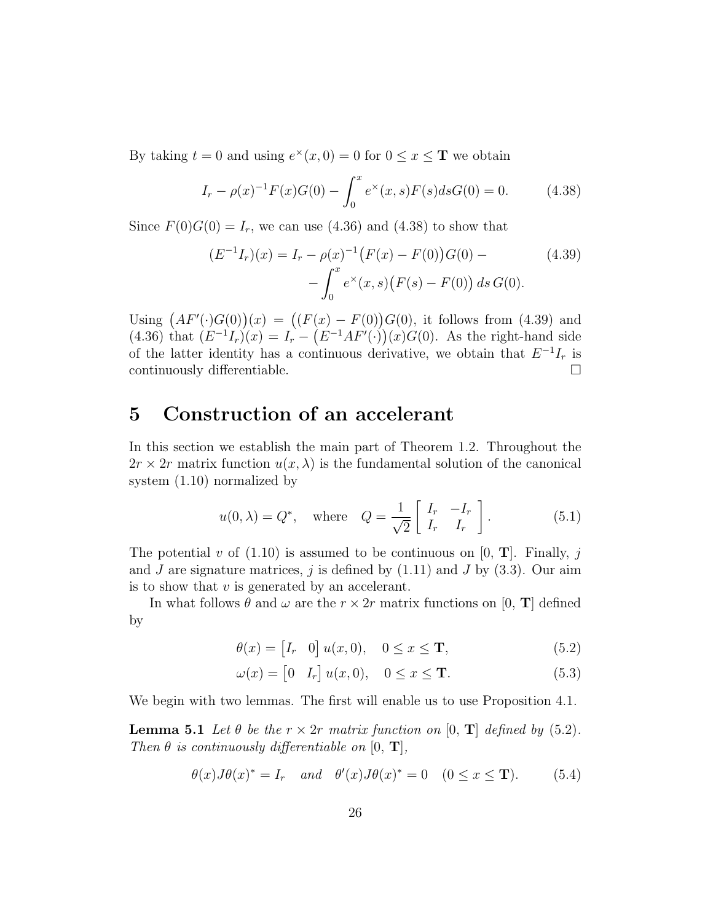By taking  $t = 0$  and using  $e^{\times}(x, 0) = 0$  for  $0 \le x \le \mathbf{T}$  we obtain

$$
I_r - \rho(x)^{-1} F(x)G(0) - \int_0^x e^{\times}(x, s) F(s) ds G(0) = 0.
$$
 (4.38)

Since  $F(0)G(0) = I_r$ , we can use (4.36) and (4.38) to show that

$$
(E^{-1}I_r)(x) = I_r - \rho(x)^{-1} (F(x) - F(0))G(0) -
$$
  

$$
- \int_0^x e^{\times}(x, s) (F(s) - F(0)) ds G(0).
$$
 (4.39)

Using  $(AF'(\cdot)G(0))(x) = ((F(x) - F(0))G(0))$ , it follows from (4.39) and (4.36) that  $(E^{-1}I_r)(x) = I_r - (E^{-1}AF)(x)(x)G(0)$ . As the right-hand side of the latter identity has a continuous derivative, we obtain that  $E^{-1}I_r$  is continuously differentiable.

### 5 Construction of an accelerant

In this section we establish the main part of Theorem 1.2. Throughout the  $2r \times 2r$  matrix function  $u(x, \lambda)$  is the fundamental solution of the canonical system (1.10) normalized by

$$
u(0,\lambda) = Q^*, \quad \text{where} \quad Q = \frac{1}{\sqrt{2}} \begin{bmatrix} I_r & -I_r \\ I_r & I_r \end{bmatrix} . \tag{5.1}
$$

The potential v of  $(1.10)$  is assumed to be continuous on  $[0, T]$ . Finally, j and  $J$  are signature matrices,  $j$  is defined by  $(1.11)$  and  $J$  by  $(3.3)$ . Our aim is to show that  $v$  is generated by an accelerant.

In what follows  $\theta$  and  $\omega$  are the  $r \times 2r$  matrix functions on [0, **T**] defined by

$$
\theta(x) = \begin{bmatrix} I_r & 0 \end{bmatrix} u(x, 0), \quad 0 \le x \le \mathbf{T}, \tag{5.2}
$$

$$
\omega(x) = \begin{bmatrix} 0 & I_r \end{bmatrix} u(x,0), \quad 0 \le x \le \mathbf{T}.
$$
 (5.3)

We begin with two lemmas. The first will enable us to use Proposition 4.1.

**Lemma 5.1** Let  $\theta$  be the  $r \times 2r$  matrix function on [0, **T**] defined by (5.2). Then  $\theta$  is continuously differentiable on [0, **T**],

$$
\theta(x)J\theta(x)^* = I_r \quad and \quad \theta'(x)J\theta(x)^* = 0 \quad (0 \le x \le \mathbf{T}). \tag{5.4}
$$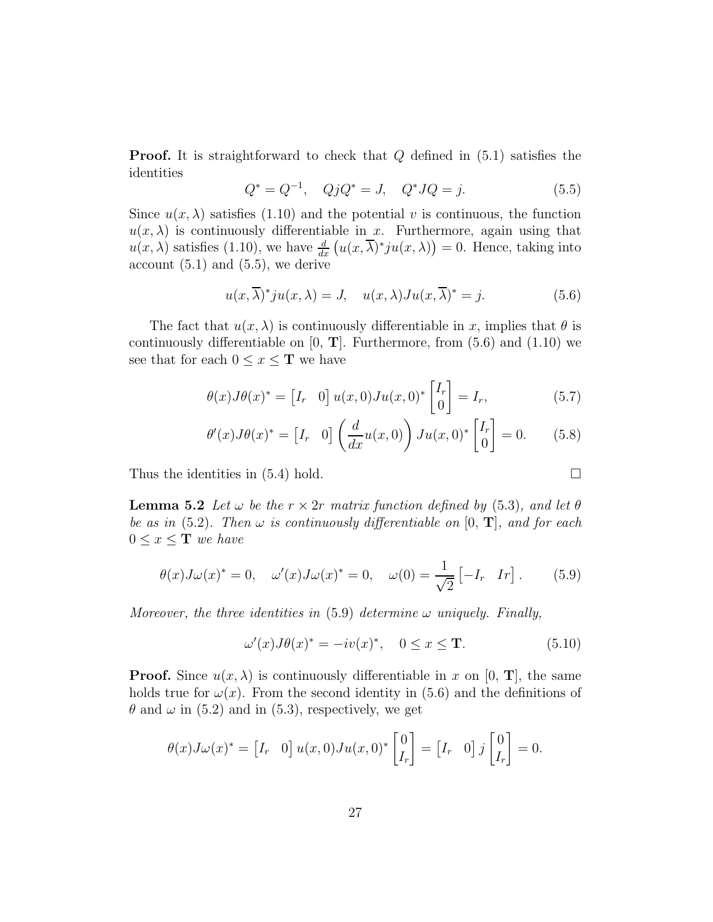**Proof.** It is straightforward to check that Q defined in  $(5.1)$  satisfies the identities

$$
Q^* = Q^{-1}, \quad QjQ^* = J, \quad Q^*JQ = j. \tag{5.5}
$$

Since  $u(x, \lambda)$  satisfies (1.10) and the potential v is continuous, the function  $u(x, \lambda)$  is continuously differentiable in x. Furthermore, again using that  $u(x,\lambda)$  satisfies (1.10), we have  $\frac{d}{dx} (u(x,\overline{\lambda})^*) u(x,\lambda) = 0$ . Hence, taking into account  $(5.1)$  and  $(5.5)$ , we derive

$$
u(x,\overline{\lambda})^*ju(x,\lambda) = J, \quad u(x,\lambda)Ju(x,\overline{\lambda})^* = j.
$$
 (5.6)

The fact that  $u(x, \lambda)$  is continuously differentiable in x, implies that  $\theta$  is continuously differentiable on  $[0, T]$ . Furthermore, from  $(5.6)$  and  $(1.10)$  we see that for each  $0 \leq x \leq T$  we have

$$
\theta(x)J\theta(x)^* = \begin{bmatrix} I_r & 0 \end{bmatrix} u(x,0)J u(x,0)^* \begin{bmatrix} I_r \\ 0 \end{bmatrix} = I_r,
$$
\n(5.7)

$$
\theta'(x)J\theta(x)^* = \begin{bmatrix} I_r & 0 \end{bmatrix} \left(\frac{d}{dx}u(x,0)\right)Ju(x,0)^* \begin{bmatrix} I_r \\ 0 \end{bmatrix} = 0. \tag{5.8}
$$

Thus the identities in  $(5.4)$  hold.

**Lemma 5.2** Let  $\omega$  be the  $r \times 2r$  matrix function defined by (5.3), and let  $\theta$ be as in (5.2). Then  $\omega$  is continuously differentiable on [0, **T**], and for each  $0 \leq x \leq T$  we have

$$
\theta(x)J\omega(x)^* = 0, \quad \omega'(x)J\omega(x)^* = 0, \quad \omega(0) = \frac{1}{\sqrt{2}}\begin{bmatrix} -I_r & I_r \end{bmatrix}.
$$
 (5.9)

Moreover, the three identities in  $(5.9)$  determine  $\omega$  uniquely. Finally,

$$
\omega'(x)J\theta(x)^* = -iv(x)^*, \quad 0 \le x \le \mathbf{T}.\tag{5.10}
$$

**Proof.** Since  $u(x, \lambda)$  is continuously differentiable in x on [0, **T**], the same holds true for  $\omega(x)$ . From the second identity in (5.6) and the definitions of  $\theta$  and  $\omega$  in (5.2) and in (5.3), respectively, we get

$$
\theta(x)J\omega(x)^* = \begin{bmatrix} I_r & 0 \end{bmatrix} u(x,0)J u(x,0)^* \begin{bmatrix} 0 \\ I_r \end{bmatrix} = \begin{bmatrix} I_r & 0 \end{bmatrix} j \begin{bmatrix} 0 \\ I_r \end{bmatrix} = 0.
$$

$$
\Box
$$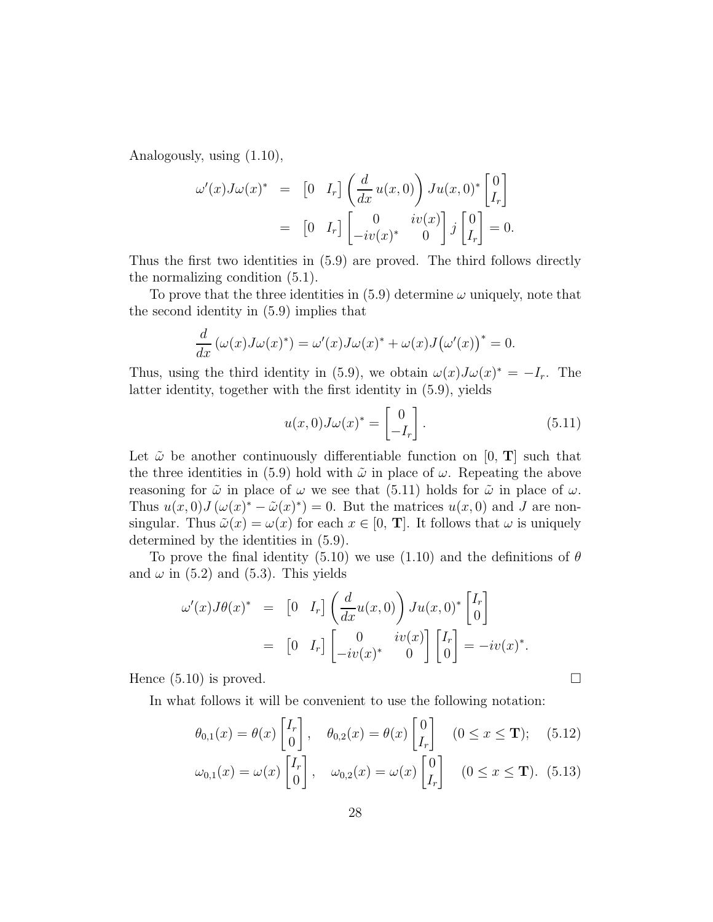Analogously, using (1.10),

$$
\omega'(x)J\omega(x)^* = \begin{bmatrix} 0 & I_r \end{bmatrix} \left( \frac{d}{dx} u(x,0) \right) J u(x,0)^* \begin{bmatrix} 0 \\ I_r \end{bmatrix}
$$

$$
= \begin{bmatrix} 0 & I_r \end{bmatrix} \begin{bmatrix} 0 & iv(x) \\ -iv(x)^* & 0 \end{bmatrix} j \begin{bmatrix} 0 \\ I_r \end{bmatrix} = 0.
$$

Thus the first two identities in (5.9) are proved. The third follows directly the normalizing condition (5.1).

To prove that the three identities in  $(5.9)$  determine  $\omega$  uniquely, note that the second identity in (5.9) implies that

$$
\frac{d}{dx}\left(\omega(x)J\omega(x)^*\right) = \omega'(x)J\omega(x)^* + \omega(x)J(\omega'(x))^* = 0.
$$

Thus, using the third identity in (5.9), we obtain  $\omega(x)J\omega(x)^* = -I_r$ . The latter identity, together with the first identity in (5.9), yields

$$
u(x,0)J\omega(x)^* = \begin{bmatrix} 0 \\ -I_r \end{bmatrix}.
$$
 (5.11)

Let  $\tilde{\omega}$  be another continuously differentiable function on [0, T] such that the three identities in (5.9) hold with  $\tilde{\omega}$  in place of  $\omega$ . Repeating the above reasoning for  $\tilde{\omega}$  in place of  $\omega$  we see that (5.11) holds for  $\tilde{\omega}$  in place of  $\omega$ . Thus  $u(x,0)J(\omega(x)^{*}-\tilde{\omega}(x)^{*})=0$ . But the matrices  $u(x,0)$  and J are nonsingular. Thus  $\tilde{\omega}(x) = \omega(x)$  for each  $x \in [0, T]$ . It follows that  $\omega$  is uniquely determined by the identities in (5.9).

To prove the final identity (5.10) we use (1.10) and the definitions of  $\theta$ and  $\omega$  in (5.2) and (5.3). This yields

$$
\omega'(x)J\theta(x)^* = \begin{bmatrix} 0 & I_r \end{bmatrix} \left( \frac{d}{dx} u(x,0) \right) J u(x,0)^* \begin{bmatrix} I_r \\ 0 \end{bmatrix}
$$

$$
= \begin{bmatrix} 0 & I_r \end{bmatrix} \begin{bmatrix} 0 & iv(x) \\ -iv(x)^* & 0 \end{bmatrix} \begin{bmatrix} I_r \\ 0 \end{bmatrix} = -iv(x)^*.
$$

Hence  $(5.10)$  is proved.

In what follows it will be convenient to use the following notation:

$$
\theta_{0,1}(x) = \theta(x) \begin{bmatrix} I_r \\ 0 \end{bmatrix}, \quad \theta_{0,2}(x) = \theta(x) \begin{bmatrix} 0 \\ I_r \end{bmatrix} \quad (0 \le x \le \mathbf{T}); \quad (5.12)
$$

$$
\omega_{0,1}(x) = \omega(x) \begin{bmatrix} I_r \\ 0 \end{bmatrix}, \quad \omega_{0,2}(x) = \omega(x) \begin{bmatrix} 0 \\ I_r \end{bmatrix} \quad (0 \le x \le \mathbf{T}). \tag{5.13}
$$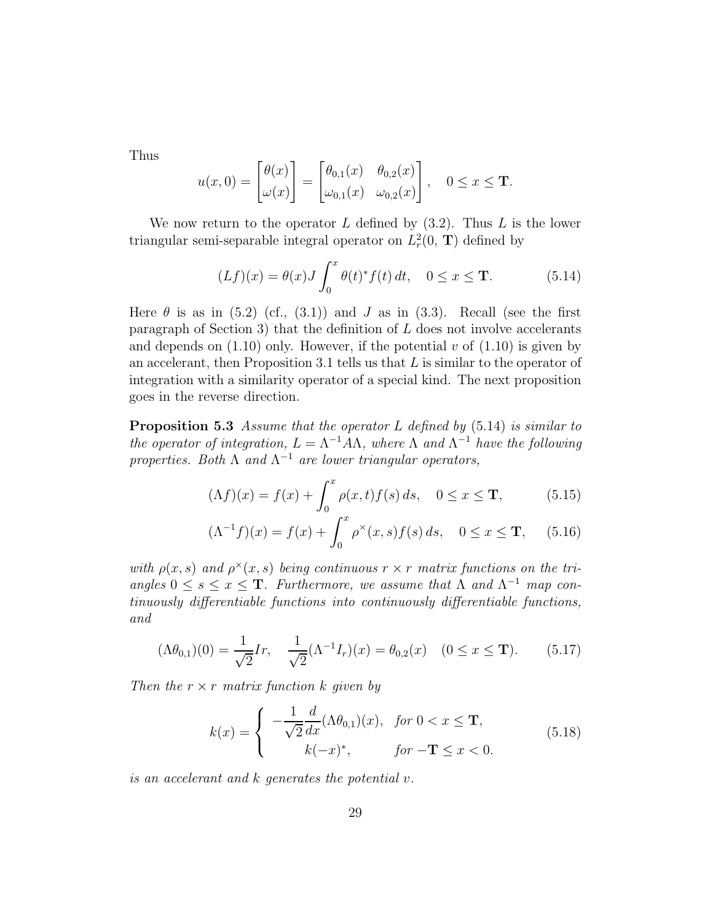Thus

$$
u(x,0) = \begin{bmatrix} \theta(x) \\ \omega(x) \end{bmatrix} = \begin{bmatrix} \theta_{0,1}(x) & \theta_{0,2}(x) \\ \omega_{0,1}(x) & \omega_{0,2}(x) \end{bmatrix}, \quad 0 \le x \le \mathbf{T}.
$$

We now return to the operator  $L$  defined by  $(3.2)$ . Thus  $L$  is the lower triangular semi-separable integral operator on  $L_r^2(0, T)$  defined by

$$
(Lf)(x) = \theta(x)J \int_0^x \theta(t)^* f(t) dt, \quad 0 \le x \le T.
$$
 (5.14)

Here  $\theta$  is as in (5.2) (cf., (3.1)) and J as in (3.3). Recall (see the first paragraph of Section 3) that the definition of  $L$  does not involve accelerants and depends on  $(1.10)$  only. However, if the potential v of  $(1.10)$  is given by an accelerant, then Proposition 3.1 tells us that  $L$  is similar to the operator of integration with a similarity operator of a special kind. The next proposition goes in the reverse direction.

**Proposition 5.3** Assume that the operator L defined by  $(5.14)$  is similar to the operator of integration,  $L = \Lambda^{-1} A \Lambda$ , where  $\Lambda$  and  $\Lambda^{-1}$  have the following properties. Both  $\Lambda$  and  $\Lambda^{-1}$  are lower triangular operators,

$$
(\Lambda f)(x) = f(x) + \int_0^x \rho(x, t) f(s) ds, \quad 0 \le x \le \mathbf{T}, \tag{5.15}
$$

$$
(\Lambda^{-1}f)(x) = f(x) + \int_0^x \rho^\times(x, s) f(s) \, ds, \quad 0 \le x \le \mathbf{T}, \quad (5.16)
$$

with  $\rho(x, s)$  and  $\rho^{\times}(x, s)$  being continuous  $r \times r$  matrix functions on the triangles  $0 \leq s \leq x \leq T$ . Furthermore, we assume that  $\Lambda$  and  $\Lambda^{-1}$  map continuously differentiable functions into continuously differentiable functions, and

$$
(\Lambda \theta_{0,1})(0) = \frac{1}{\sqrt{2}} Ir, \quad \frac{1}{\sqrt{2}} (\Lambda^{-1} I_r)(x) = \theta_{0,2}(x) \quad (0 \le x \le \mathbf{T}). \tag{5.17}
$$

Then the  $r \times r$  matrix function k given by

$$
k(x) = \begin{cases} -\frac{1}{\sqrt{2}} \frac{d}{dx} (\Lambda \theta_{0,1})(x), & \text{for } 0 < x \leq \mathbf{T}, \\ k(-x)^*, & \text{for } -\mathbf{T} \leq x < 0. \end{cases}
$$
(5.18)

is an accelerant and k generates the potential v.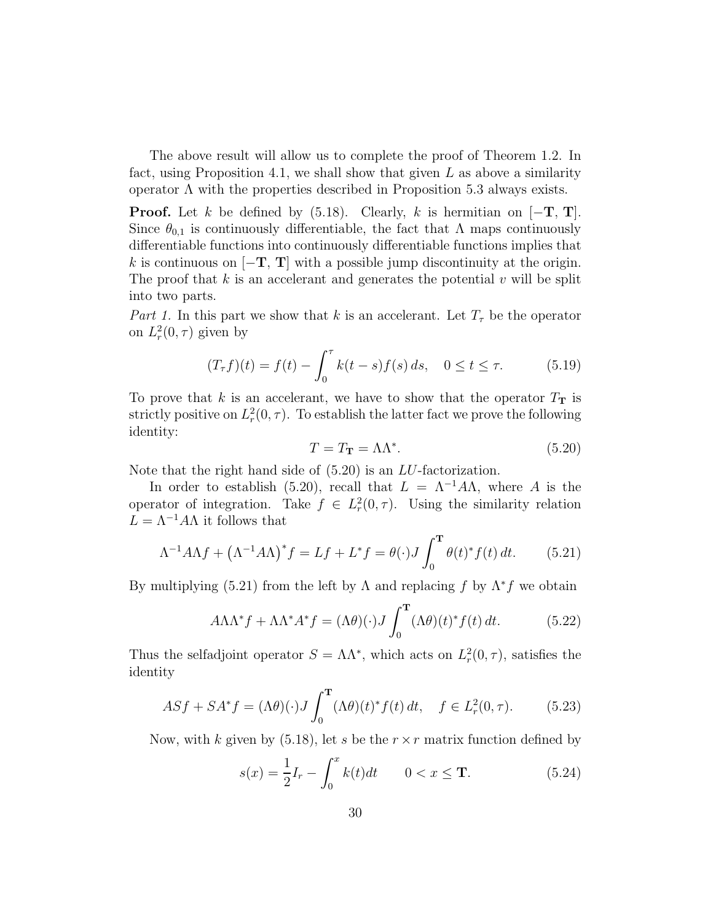The above result will allow us to complete the proof of Theorem 1.2. In fact, using Proposition 4.1, we shall show that given  $L$  as above a similarity operator Λ with the properties described in Proposition 5.3 always exists.

**Proof.** Let k be defined by (5.18). Clearly, k is hermitian on  $[-T, T]$ . Since  $\theta_{0,1}$  is continuously differentiable, the fact that  $\Lambda$  maps continuously differentiable functions into continuously differentiable functions implies that k is continuous on  $[-T, T]$  with a possible jump discontinuity at the origin. The proof that  $k$  is an accelerant and generates the potential  $v$  will be split into two parts.

Part 1. In this part we show that k is an accelerant. Let  $T<sub>\tau</sub>$  be the operator on  $L_r^2(0,\tau)$  given by

$$
(T_{\tau}f)(t) = f(t) - \int_0^{\tau} k(t - s) f(s) ds, \quad 0 \le t \le \tau.
$$
 (5.19)

To prove that k is an accelerant, we have to show that the operator  $T_{\text{T}}$  is strictly positive on  $L_r^2(0,\tau)$ . To establish the latter fact we prove the following identity:

$$
T = T_{\mathbf{T}} = \Lambda \Lambda^*.
$$
 (5.20)

Note that the right hand side of (5.20) is an LU-factorization.

In order to establish (5.20), recall that  $L = \Lambda^{-1} A \Lambda$ , where A is the operator of integration. Take  $f \in L_r^2(0, \tau)$ . Using the similarity relation  $L = \Lambda^{-1} A \Lambda$  it follows that

$$
\Lambda^{-1}A\Lambda f + \left(\Lambda^{-1}A\Lambda\right)^* f = Lf + L^*f = \theta(\cdot)J \int_0^{\mathbf{T}} \theta(t)^* f(t) dt.
$$
 (5.21)

By multiplying (5.21) from the left by  $\Lambda$  and replacing f by  $\Lambda^* f$  we obtain

$$
A\Lambda\Lambda^* f + \Lambda\Lambda^* A^* f = (\Lambda\theta)(\cdot) J \int_0^{\mathbf{T}} (\Lambda\theta)(t)^* f(t) dt.
$$
 (5.22)

Thus the selfadjoint operator  $S = \Lambda \Lambda^*$ , which acts on  $L_r^2(0, \tau)$ , satisfies the identity

$$
ASf + SA^*f = (\Lambda \theta)(\cdot)J \int_0^{\mathbf{T}} (\Lambda \theta)(t)^* f(t) dt, \quad f \in L^2_r(0, \tau). \tag{5.23}
$$

Now, with k given by  $(5.18)$ , let s be the  $r \times r$  matrix function defined by

$$
s(x) = \frac{1}{2}I_r - \int_0^x k(t)dt \qquad 0 < x \le T. \tag{5.24}
$$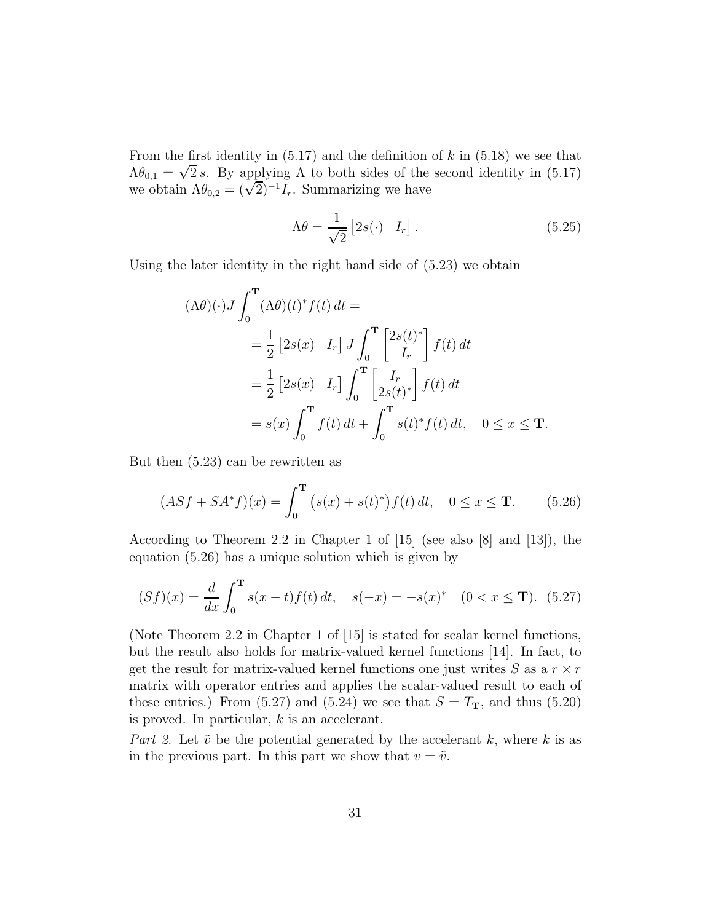From the first identity in  $(5.17)$  and the definition of k in  $(5.18)$  we see that  $\Lambda\theta_{0,1} = \sqrt{2} s$ . By applying  $\Lambda$  to both sides of the second identity in (5.17) we obtain  $\Lambda \theta_{0,2} = (\sqrt{2})^{-1} I_r$ . Summarizing we have

$$
\Lambda \theta = \frac{1}{\sqrt{2}} \begin{bmatrix} 2s(\cdot) & I_r \end{bmatrix} . \tag{5.25}
$$

Using the later identity in the right hand side of (5.23) we obtain

$$
(\Lambda \theta)(\cdot) J \int_0^{\mathbf{T}} (\Lambda \theta)(t)^* f(t) dt =
$$
  
=  $\frac{1}{2} \left[ 2s(x) I_r \right] J \int_0^{\mathbf{T}} \left[ \frac{2s(t)^*}{I_r} \right] f(t) dt$   
=  $\frac{1}{2} \left[ 2s(x) I_r \right] \int_0^{\mathbf{T}} \left[ \frac{I_r}{2s(t)^*} \right] f(t) dt$   
=  $s(x) \int_0^{\mathbf{T}} f(t) dt + \int_0^{\mathbf{T}} s(t)^* f(t) dt, \quad 0 \le x \le \mathbf{T}.$ 

But then (5.23) can be rewritten as

$$
(ASf + SA^*f)(x) = \int_0^{\mathbf{T}} (s(x) + s(t)^*) f(t) dt, \quad 0 \le x \le \mathbf{T}.
$$
 (5.26)

According to Theorem 2.2 in Chapter 1 of [15] (see also [8] and [13]), the equation (5.26) has a unique solution which is given by

$$
(Sf)(x) = \frac{d}{dx} \int_0^{\mathbf{T}} s(x - t) f(t) dt, \quad s(-x) = -s(x)^* \quad (0 < x \le \mathbf{T}). \tag{5.27}
$$

(Note Theorem 2.2 in Chapter 1 of [15] is stated for scalar kernel functions, but the result also holds for matrix-valued kernel functions [14]. In fact, to get the result for matrix-valued kernel functions one just writes  $S$  as a  $r \times r$ matrix with operator entries and applies the scalar-valued result to each of these entries.) From (5.27) and (5.24) we see that  $S = T_{\textbf{T}}$ , and thus (5.20) is proved. In particular,  $k$  is an accelerant.

Part 2. Let  $\tilde{v}$  be the potential generated by the accelerant k, where k is as in the previous part. In this part we show that  $v = \tilde{v}$ .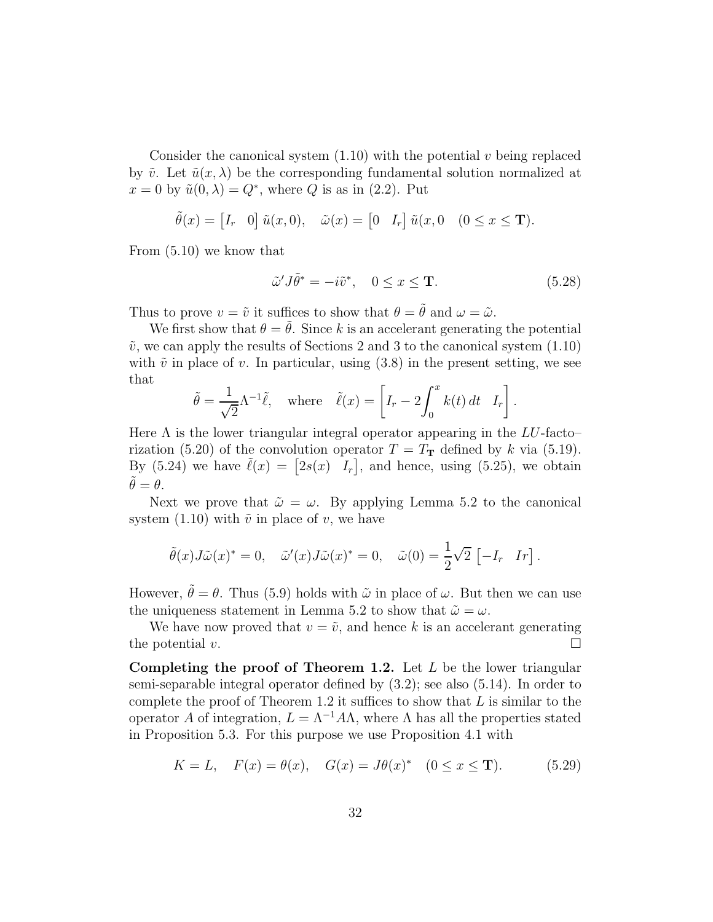Consider the canonical system  $(1.10)$  with the potential v being replaced by  $\tilde{v}$ . Let  $\tilde{u}(x, \lambda)$  be the corresponding fundamental solution normalized at  $x = 0$  by  $\tilde{u}(0, \lambda) = Q^*$ , where Q is as in (2.2). Put

$$
\tilde{\theta}(x) = \begin{bmatrix} I_r & 0 \end{bmatrix} \tilde{u}(x,0), \quad \tilde{\omega}(x) = \begin{bmatrix} 0 & I_r \end{bmatrix} \tilde{u}(x,0) \quad (0 \le x \le \mathbf{T}).
$$

From (5.10) we know that

$$
\tilde{\omega}' J \tilde{\theta}^* = -i \tilde{v}^*, \quad 0 \le x \le \mathbf{T}.
$$
\n(5.28)

Thus to prove  $v = \tilde{v}$  it suffices to show that  $\theta = \tilde{\theta}$  and  $\omega = \tilde{\omega}$ .

We first show that  $\theta = \tilde{\theta}$ . Since k is an accelerant generating the potential  $\tilde{v}$ , we can apply the results of Sections 2 and 3 to the canonical system  $(1.10)$ with  $\tilde{v}$  in place of v. In particular, using (3.8) in the present setting, we see that

$$
\tilde{\theta} = \frac{1}{\sqrt{2}} \Lambda^{-1} \tilde{\ell}, \text{ where } \tilde{\ell}(x) = \left[ I_r - 2 \int_0^x k(t) dt \mid I_r \right].
$$

Here  $\Lambda$  is the lower triangular integral operator appearing in the LU-facto– rization (5.20) of the convolution operator  $T = T<sub>T</sub>$  defined by k via (5.19). By (5.24) we have  $\tilde{\ell}(x) = \begin{bmatrix} 2s(x) & I_r \end{bmatrix}$ , and hence, using (5.25), we obtain  $\tilde{\theta} = \theta.$ 

Next we prove that  $\tilde{\omega} = \omega$ . By applying Lemma 5.2 to the canonical system (1.10) with  $\tilde{v}$  in place of v, we have

$$
\tilde{\theta}(x)J\tilde{\omega}(x)^* = 0, \quad \tilde{\omega}'(x)J\tilde{\omega}(x)^* = 0, \quad \tilde{\omega}(0) = \frac{1}{2}\sqrt{2} [-I_r \quad Ir].
$$

However,  $\tilde{\theta} = \theta$ . Thus (5.9) holds with  $\tilde{\omega}$  in place of  $\omega$ . But then we can use the uniqueness statement in Lemma 5.2 to show that  $\tilde{\omega} = \omega$ .

We have now proved that  $v = \tilde{v}$ , and hence k is an accelerant generating the potential  $v$ .

Completing the proof of Theorem 1.2. Let  $L$  be the lower triangular semi-separable integral operator defined by (3.2); see also (5.14). In order to complete the proof of Theorem 1.2 it suffices to show that  $L$  is similar to the operator A of integration,  $L = \Lambda^{-1} A \Lambda$ , where  $\Lambda$  has all the properties stated in Proposition 5.3. For this purpose we use Proposition 4.1 with

$$
K = L
$$
,  $F(x) = \theta(x)$ ,  $G(x) = J\theta(x)^*$   $(0 \le x \le T)$ . (5.29)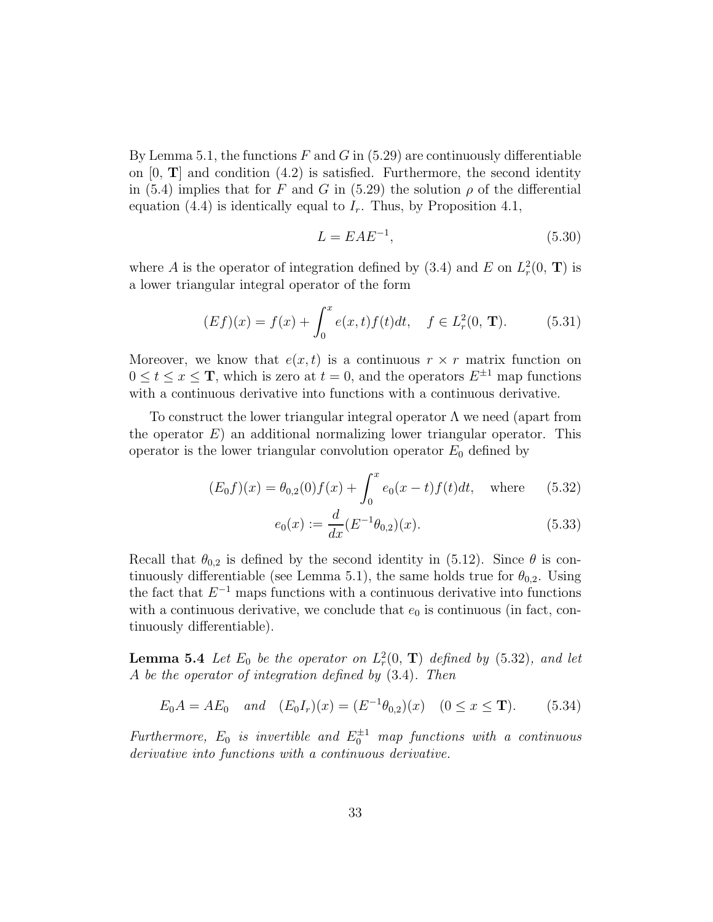By Lemma 5.1, the functions F and G in  $(5.29)$  are continuously differentiable on  $[0, T]$  and condition  $(4.2)$  is satisfied. Furthermore, the second identity in (5.4) implies that for F and G in (5.29) the solution  $\rho$  of the differential equation (4.4) is identically equal to  $I_r$ . Thus, by Proposition 4.1,

$$
L = EAE^{-1},\tag{5.30}
$$

where A is the operator of integration defined by (3.4) and E on  $L_r^2(0, T)$  is a lower triangular integral operator of the form

$$
(Ef)(x) = f(x) + \int_0^x e(x, t) f(t) dt, \quad f \in L^2_r(0, \mathbf{T}).
$$
 (5.31)

Moreover, we know that  $e(x, t)$  is a continuous  $r \times r$  matrix function on  $0 \le t \le x \le T$ , which is zero at  $t = 0$ , and the operators  $E^{\pm 1}$  map functions with a continuous derivative into functions with a continuous derivative.

To construct the lower triangular integral operator  $\Lambda$  we need (apart from the operator  $E$ ) an additional normalizing lower triangular operator. This operator is the lower triangular convolution operator  $E_0$  defined by

$$
(E_0 f)(x) = \theta_{0,2}(0) f(x) + \int_0^x e_0(x - t) f(t) dt, \text{ where } (5.32)
$$

$$
e_0(x) := \frac{d}{dx} (E^{-1} \theta_{0,2})(x).
$$
 (5.33)

Recall that  $\theta_{0,2}$  is defined by the second identity in (5.12). Since  $\theta$  is continuously differentiable (see Lemma 5.1), the same holds true for  $\theta_{0,2}$ . Using the fact that  $E^{-1}$  maps functions with a continuous derivative into functions with a continuous derivative, we conclude that  $e_0$  is continuous (in fact, continuously differentiable).

**Lemma 5.4** Let  $E_0$  be the operator on  $L_r^2(0, T)$  defined by (5.32), and let A be the operator of integration defined by (3.4). Then

$$
E_0 A = AE_0
$$
 and  $(E_0 I_r)(x) = (E^{-1}\theta_{0,2})(x)$   $(0 \le x \le T).$  (5.34)

Furthermore,  $E_0$  is invertible and  $E_0^{\pm 1}$  map functions with a continuous derivative into functions with a continuous derivative.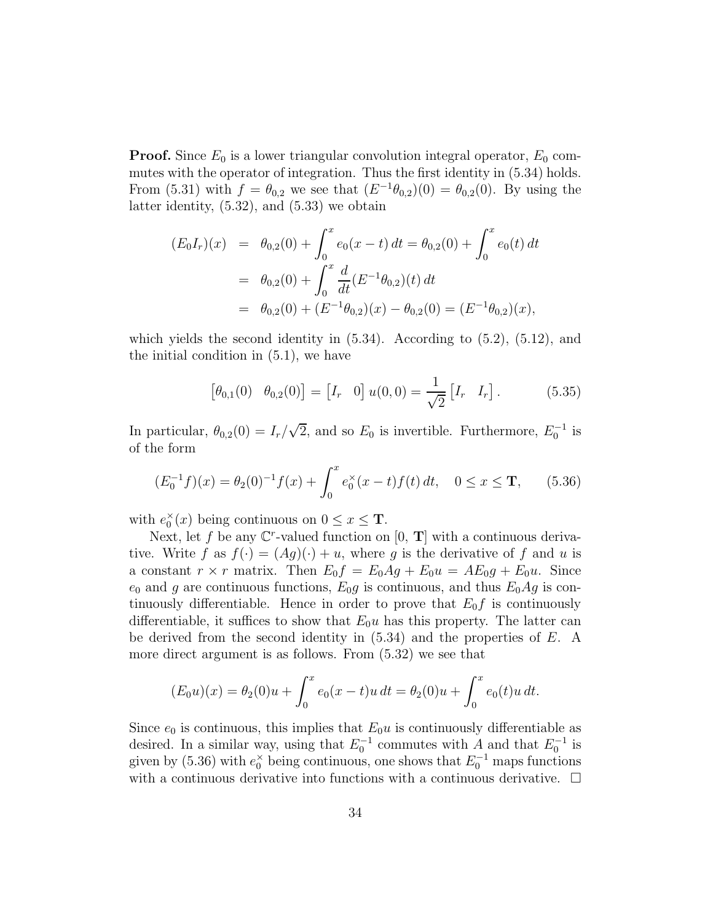**Proof.** Since  $E_0$  is a lower triangular convolution integral operator,  $E_0$  commutes with the operator of integration. Thus the first identity in (5.34) holds. From (5.31) with  $f = \theta_{0,2}$  we see that  $(E^{-1}\theta_{0,2})(0) = \theta_{0,2}(0)$ . By using the latter identity, (5.32), and (5.33) we obtain

$$
(E_0I_r)(x) = \theta_{0,2}(0) + \int_0^x e_0(x-t) dt = \theta_{0,2}(0) + \int_0^x e_0(t) dt
$$
  
=  $\theta_{0,2}(0) + \int_0^x \frac{d}{dt} (E^{-1}\theta_{0,2})(t) dt$   
=  $\theta_{0,2}(0) + (E^{-1}\theta_{0,2})(x) - \theta_{0,2}(0) = (E^{-1}\theta_{0,2})(x),$ 

which yields the second identity in  $(5.34)$ . According to  $(5.2)$ ,  $(5.12)$ , and the initial condition in (5.1), we have

$$
\begin{bmatrix} \theta_{0,1}(0) & \theta_{0,2}(0) \end{bmatrix} = \begin{bmatrix} I_r & 0 \end{bmatrix} u(0,0) = \frac{1}{\sqrt{2}} \begin{bmatrix} I_r & I_r \end{bmatrix} . \tag{5.35}
$$

In particular,  $\theta_{0,2}(0) = I_r/\sqrt{2}$ , and so  $E_0$  is invertible. Furthermore,  $E_0^{-1}$  is of the form

$$
(E_0^{-1}f)(x) = \theta_2(0)^{-1}f(x) + \int_0^x e_0^{\times}(x - t)f(t) dt, \quad 0 \le x \le \mathbf{T}, \qquad (5.36)
$$

with  $e_0^{\times}(x)$  being continuous on  $0 \le x \le \mathbf{T}$ .

Next, let f be any  $\mathbb{C}^r$ -valued function on  $[0, T]$  with a continuous derivative. Write f as  $f(\cdot) = (Ag)(\cdot) + u$ , where g is the derivative of f and u is a constant  $r \times r$  matrix. Then  $E_0 f = E_0 A g + E_0 u = A E_0 g + E_0 u$ . Since  $e_0$  and g are continuous functions,  $E_0 g$  is continuous, and thus  $E_0 Ag$  is continuously differentiable. Hence in order to prove that  $E_0 f$  is continuously differentiable, it suffices to show that  $E_0u$  has this property. The latter can be derived from the second identity in  $(5.34)$  and the properties of E. A more direct argument is as follows. From (5.32) we see that

$$
(E_0 u)(x) = \theta_2(0)u + \int_0^x e_0(x-t)u dt = \theta_2(0)u + \int_0^x e_0(t)u dt.
$$

Since  $e_0$  is continuous, this implies that  $E_0u$  is continuously differentiable as desired. In a similar way, using that  $E_0^{-1}$  commutes with A and that  $E_0^{-1}$  is given by (5.36) with  $e_0^{\times}$  being continuous, one shows that  $E_0^{-1}$  maps functions with a continuous derivative into functions with a continuous derivative.  $\Box$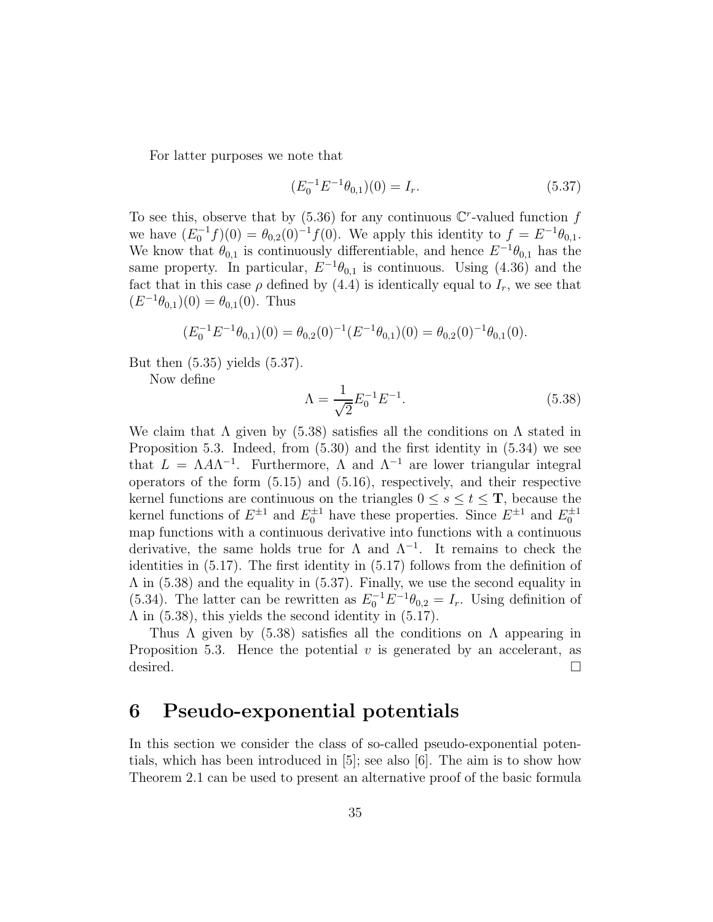For latter purposes we note that

$$
(E_0^{-1}E^{-1}\theta_{0,1})(0) = I_r.
$$
\n(5.37)

To see this, observe that by  $(5.36)$  for any continuous  $\mathbb{C}^r$ -valued function f we have  $(E_0^{-1}f)(0) = \theta_{0,2}(0)^{-1}f(0)$ . We apply this identity to  $f = E^{-1}\theta_{0,1}$ . We know that  $\theta_{0,1}$  is continuously differentiable, and hence  $E^{-1}\theta_{0,1}$  has the same property. In particular,  $E^{-1}\theta_{0,1}$  is continuous. Using (4.36) and the fact that in this case  $\rho$  defined by (4.4) is identically equal to  $I_r$ , we see that  $(E^{-1}\theta_{0,1})(0) = \theta_{0,1}(0)$ . Thus

$$
(E_0^{-1}E^{-1}\theta_{0,1})(0) = \theta_{0,2}(0)^{-1}(E^{-1}\theta_{0,1})(0) = \theta_{0,2}(0)^{-1}\theta_{0,1}(0).
$$

But then (5.35) yields (5.37).

Now define

$$
\Lambda = \frac{1}{\sqrt{2}} E_0^{-1} E^{-1}.
$$
\n(5.38)

We claim that  $\Lambda$  given by (5.38) satisfies all the conditions on  $\Lambda$  stated in Proposition 5.3. Indeed, from (5.30) and the first identity in (5.34) we see that  $L = \Lambda A \Lambda^{-1}$ . Furthermore,  $\Lambda$  and  $\Lambda^{-1}$  are lower triangular integral operators of the form (5.15) and (5.16), respectively, and their respective kernel functions are continuous on the triangles  $0 \leq s \leq t \leq T$ , because the kernel functions of  $E^{\pm 1}$  and  $E_0^{\pm 1}$  have these properties. Since  $E^{\pm 1}$  and  $E_0^{\pm 1}$ map functions with a continuous derivative into functions with a continuous derivative, the same holds true for  $\Lambda$  and  $\Lambda^{-1}$ . It remains to check the identities in (5.17). The first identity in (5.17) follows from the definition of Λ in (5.38) and the equality in (5.37). Finally, we use the second equality in (5.34). The latter can be rewritten as  $E_0^{-1}E^{-1}\theta_{0,2} = I_r$ . Using definition of  $\Lambda$  in (5.38), this yields the second identity in (5.17).

Thus  $\Lambda$  given by (5.38) satisfies all the conditions on  $\Lambda$  appearing in Proposition 5.3. Hence the potential  $v$  is generated by an accelerant, as desired.  $\square$ 

### 6 Pseudo-exponential potentials

In this section we consider the class of so-called pseudo-exponential potentials, which has been introduced in [5]; see also [6]. The aim is to show how Theorem 2.1 can be used to present an alternative proof of the basic formula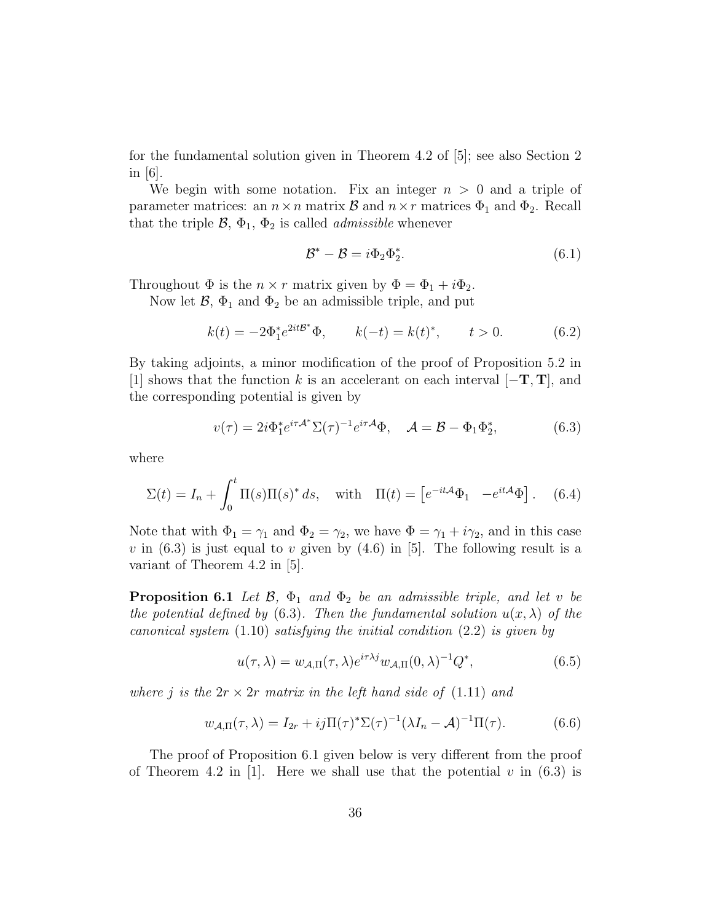for the fundamental solution given in Theorem 4.2 of [5]; see also Section 2 in  $|6|$ .

We begin with some notation. Fix an integer  $n > 0$  and a triple of parameter matrices: an  $n \times n$  matrix  $\mathcal{B}$  and  $n \times r$  matrices  $\Phi_1$  and  $\Phi_2$ . Recall that the triple  $\mathcal{B}, \Phi_1, \Phi_2$  is called *admissible* whenever

$$
\mathcal{B}^* - \mathcal{B} = i\Phi_2 \Phi_2^*.
$$
 (6.1)

Throughout  $\Phi$  is the  $n \times r$  matrix given by  $\Phi = \Phi_1 + i \Phi_2$ .

Now let  $\mathcal{B}, \Phi_1$  and  $\Phi_2$  be an admissible triple, and put

$$
k(t) = -2\Phi_1^* e^{2it\mathcal{B}^*} \Phi
$$
,  $k(-t) = k(t)^*$ ,  $t > 0$ . (6.2)

By taking adjoints, a minor modification of the proof of Proposition 5.2 in [1] shows that the function k is an accelerant on each interval  $[-T, T]$ , and the corresponding potential is given by

$$
v(\tau) = 2i\Phi_1^* e^{i\tau \mathcal{A}^*} \Sigma(\tau)^{-1} e^{i\tau \mathcal{A}} \Phi, \quad \mathcal{A} = \mathcal{B} - \Phi_1 \Phi_2^*, \tag{6.3}
$$

where

$$
\Sigma(t) = I_n + \int_0^t \Pi(s)\Pi(s)^* ds, \quad \text{with} \quad \Pi(t) = \left[e^{-it\mathcal{A}}\Phi_1 - e^{it\mathcal{A}}\Phi\right]. \tag{6.4}
$$

Note that with  $\Phi_1 = \gamma_1$  and  $\Phi_2 = \gamma_2$ , we have  $\Phi = \gamma_1 + i\gamma_2$ , and in this case v in  $(6.3)$  is just equal to v given by  $(4.6)$  in [5]. The following result is a variant of Theorem 4.2 in [5].

**Proposition 6.1** Let  $\mathcal{B}$ ,  $\Phi_1$  and  $\Phi_2$  be an admissible triple, and let v be the potential defined by (6.3). Then the fundamental solution  $u(x, \lambda)$  of the canonical system  $(1.10)$  satisfying the initial condition  $(2.2)$  is given by

$$
u(\tau,\lambda) = w_{\mathcal{A},\Pi}(\tau,\lambda)e^{i\tau\lambda j}w_{\mathcal{A},\Pi}(0,\lambda)^{-1}Q^*,
$$
\n(6.5)

where j is the  $2r \times 2r$  matrix in the left hand side of (1.11) and

$$
w_{\mathcal{A},\Pi}(\tau,\lambda) = I_{2r} + ij\Pi(\tau)^*\Sigma(\tau)^{-1}(\lambda I_n - \mathcal{A})^{-1}\Pi(\tau). \tag{6.6}
$$

The proof of Proposition 6.1 given below is very different from the proof of Theorem 4.2 in [1]. Here we shall use that the potential v in  $(6.3)$  is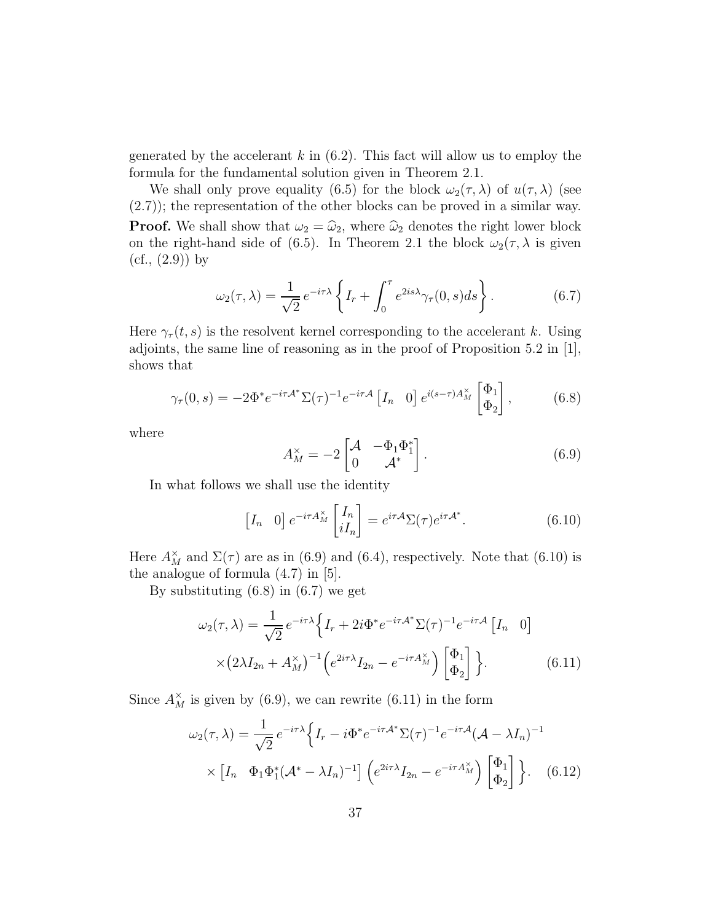generated by the accelerant  $k$  in (6.2). This fact will allow us to employ the formula for the fundamental solution given in Theorem 2.1.

We shall only prove equality (6.5) for the block  $\omega_2(\tau, \lambda)$  of  $u(\tau, \lambda)$  (see (2.7)); the representation of the other blocks can be proved in a similar way. **Proof.** We shall show that  $\omega_2 = \hat{\omega}_2$ , where  $\hat{\omega}_2$  denotes the right lower block on the right-hand side of (6.5). In Theorem 2.1 the block  $\omega_2(\tau, \lambda)$  is given  $(cf., (2.9))$  by

$$
\omega_2(\tau,\lambda) = \frac{1}{\sqrt{2}} e^{-i\tau\lambda} \left\{ I_r + \int_0^\tau e^{2is\lambda} \gamma_\tau(0,s) ds \right\}.
$$
 (6.7)

Here  $\gamma_{\tau}(t, s)$  is the resolvent kernel corresponding to the accelerant k. Using adjoints, the same line of reasoning as in the proof of Proposition 5.2 in [1], shows that

$$
\gamma_{\tau}(0,s) = -2\Phi^* e^{-i\tau \mathcal{A}^*} \Sigma(\tau)^{-1} e^{-i\tau \mathcal{A}} \left[ I_n \quad 0 \right] e^{i(s-\tau)A_M^{\times}} \begin{bmatrix} \Phi_1 \\ \Phi_2 \end{bmatrix},\tag{6.8}
$$

where

$$
A_M^{\times} = -2 \begin{bmatrix} \mathcal{A} & -\Phi_1 \Phi_1^* \\ 0 & \mathcal{A}^* \end{bmatrix} . \tag{6.9}
$$

In what follows we shall use the identity

$$
\begin{bmatrix} I_n & 0 \end{bmatrix} e^{-i\tau A_M^{\times}} \begin{bmatrix} I_n \\ iI_n \end{bmatrix} = e^{i\tau A} \Sigma(\tau) e^{i\tau A^*}.
$$
 (6.10)

Here  $A_M^{\times}$  and  $\Sigma(\tau)$  are as in (6.9) and (6.4), respectively. Note that (6.10) is the analogue of formula (4.7) in [5].

By substituting (6.8) in (6.7) we get

$$
\omega_2(\tau,\lambda) = \frac{1}{\sqrt{2}} e^{-i\tau\lambda} \left\{ I_r + 2i\Phi^* e^{-i\tau A^*} \Sigma(\tau)^{-1} e^{-i\tau A} \left[ I_n \quad 0 \right] \right.
$$

$$
\times \left( 2\lambda I_{2n} + A_M^\times \right)^{-1} \left( e^{2i\tau\lambda} I_{2n} - e^{-i\tau A_M^\times} \right) \left[ \Phi_1 \atop \Phi_2 \right] \right\}.
$$
(6.11)

Since  $A_M^{\times}$  is given by (6.9), we can rewrite (6.11) in the form

$$
\omega_2(\tau,\lambda) = \frac{1}{\sqrt{2}} e^{-i\tau\lambda} \Big\{ I_r - i\Phi^* e^{-i\tau A^*} \Sigma(\tau)^{-1} e^{-i\tau A} (A - \lambda I_n)^{-1}
$$

$$
\times \left[ I_n \quad \Phi_1 \Phi_1^* (A^* - \lambda I_n)^{-1} \right] \Big( e^{2i\tau\lambda} I_{2n} - e^{-i\tau A_M^{\times}} \Big) \begin{bmatrix} \Phi_1 \\ \Phi_2 \end{bmatrix} \Big\}. \tag{6.12}
$$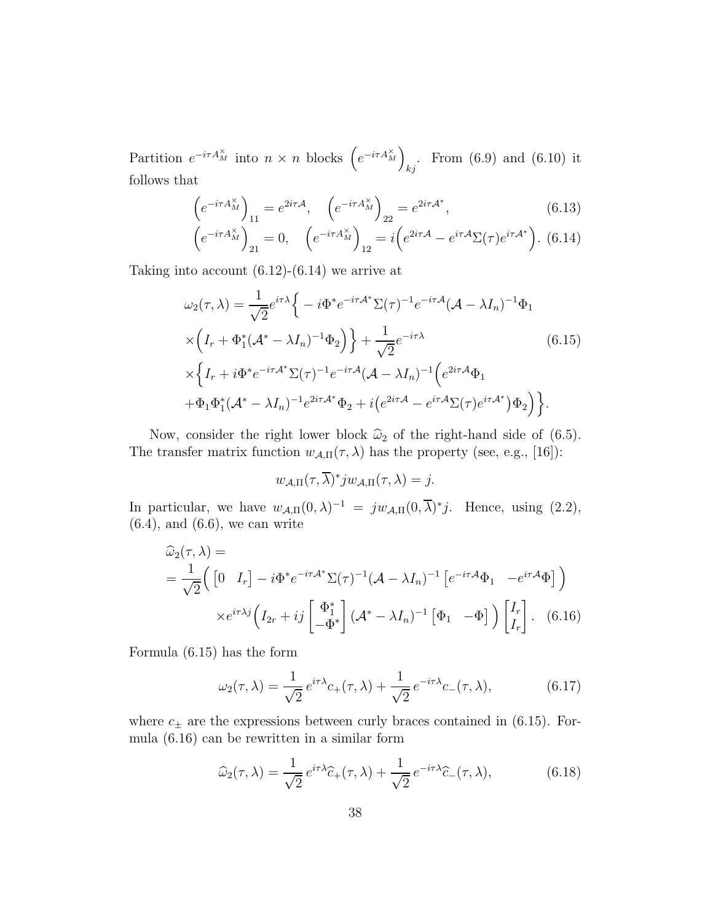Partition  $e^{-i\tau A_M^{\times}}$  into  $n \times n$  blocks  $\left(e^{-i\tau A_M^{\times}}\right)$ From  $(6.9)$  and  $(6.10)$  it follows that

$$
\left(e^{-i\tau A_M^\times}\right)_{11} = e^{2i\tau A}, \quad \left(e^{-i\tau A_M^\times}\right)_{22} = e^{2i\tau A^*},\tag{6.13}
$$

$$
\left(e^{-i\tau A_M^{\times}}\right)_{21} = 0, \quad \left(e^{-i\tau A_M^{\times}}\right)_{12} = i\left(e^{2i\tau A} - e^{i\tau A}\Sigma(\tau)e^{i\tau A^*}\right). \tag{6.14}
$$

Taking into account  $(6.12)-(6.14)$  we arrive at

$$
\omega_2(\tau,\lambda) = \frac{1}{\sqrt{2}} e^{i\tau\lambda} \Big\{ -i\Phi^* e^{-i\tau A^*} \Sigma(\tau)^{-1} e^{-i\tau A} (A - \lambda I_n)^{-1} \Phi_1
$$
  
 
$$
\times \Big(I_r + \Phi_1^* (A^* - \lambda I_n)^{-1} \Phi_2\Big) \Big\} + \frac{1}{\sqrt{2}} e^{-i\tau\lambda}
$$
(6.15)  
 
$$
\times \Big\{I_r + i\Phi^* e^{-i\tau A^*} \Sigma(\tau)^{-1} e^{-i\tau A} (A - \lambda I_n)^{-1} \Big( e^{2i\tau A} \Phi_1
$$
  
 
$$
+ \Phi_1 \Phi_1^* (A^* - \lambda I_n)^{-1} e^{2i\tau A^*} \Phi_2 + i \Big( e^{2i\tau A} - e^{i\tau A} \Sigma(\tau) e^{i\tau A^*} \Big) \Phi_2\Big) \Big\}.
$$

Now, consider the right lower block  $\hat{\omega}_2$  of the right-hand side of (6.5). The transfer matrix function  $w_{A,\Pi}(\tau,\lambda)$  has the property (see, e.g., [16]):

$$
w_{A,\Pi}(\tau,\overline{\lambda})^* j w_{A,\Pi}(\tau,\lambda) = j.
$$

In particular, we have  $w_{A,\Pi}(0,\lambda)^{-1} = jw_{A,\Pi}(0,\overline{\lambda})^*j$ . Hence, using (2.2),  $(6.4)$ , and  $(6.6)$ , we can write

$$
\widehat{\omega}_{2}(\tau,\lambda) =
$$
\n
$$
= \frac{1}{\sqrt{2}} \Big( \begin{bmatrix} 0 & I_{r} \end{bmatrix} - i\Phi^{*}e^{-i\tau A^{*}}\Sigma(\tau)^{-1}(A - \lambda I_{n})^{-1} \begin{bmatrix} e^{-i\tau A}\Phi_{1} & -e^{i\tau A}\Phi \end{bmatrix} \Big) \times e^{i\tau\lambda j} \Big( I_{2r} + ij \begin{bmatrix} \Phi_{1}^{*} \\ -\Phi^{*} \end{bmatrix} (A^{*} - \lambda I_{n})^{-1} \begin{bmatrix} \Phi_{1} & -\Phi \end{bmatrix} \Big) \begin{bmatrix} I_{r} \\ I_{r} \end{bmatrix}. \quad (6.16)
$$

Formula (6.15) has the form

$$
\omega_2(\tau,\lambda) = \frac{1}{\sqrt{2}} e^{i\tau\lambda} c_+(\tau,\lambda) + \frac{1}{\sqrt{2}} e^{-i\tau\lambda} c_-(\tau,\lambda), \tag{6.17}
$$

where  $c_{\pm}$  are the expressions between curly braces contained in (6.15). Formula (6.16) can be rewritten in a similar form

$$
\widehat{\omega}_2(\tau,\lambda) = \frac{1}{\sqrt{2}} e^{i\tau\lambda} \widehat{c}_+(\tau,\lambda) + \frac{1}{\sqrt{2}} e^{-i\tau\lambda} \widehat{c}_-(\tau,\lambda), \tag{6.18}
$$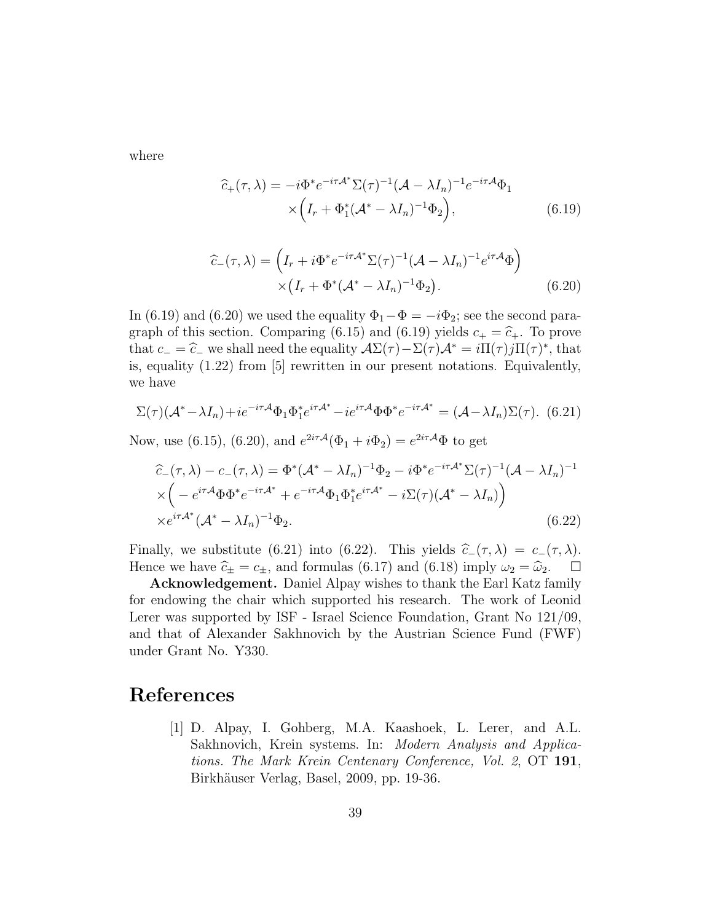where

$$
\widehat{c}_{+}(\tau,\lambda) = -i\Phi^* e^{-i\tau A^*} \Sigma(\tau)^{-1} (A - \lambda I_n)^{-1} e^{-i\tau A} \Phi_1
$$
  
 
$$
\times \left( I_r + \Phi_1^* (A^* - \lambda I_n)^{-1} \Phi_2 \right), \tag{6.19}
$$

$$
\widehat{c}_{-}(\tau,\lambda) = \left(I_r + i\Phi^* e^{-i\tau A^*} \Sigma(\tau)^{-1} (A - \lambda I_n)^{-1} e^{i\tau A} \Phi\right) \times \left(I_r + \Phi^* (A^* - \lambda I_n)^{-1} \Phi_2\right).
$$
\n(6.20)

In (6.19) and (6.20) we used the equality  $\Phi_1 - \Phi = -i\Phi_2$ ; see the second paragraph of this section. Comparing (6.15) and (6.19) yields  $c_+ = \hat{c}_+$ . To prove that  $c_-=\widehat{c}_-$  we shall need the equality  $\mathcal{A}\Sigma(\tau)-\Sigma(\tau)\mathcal{A}^*=i\Pi(\tau)j\Pi(\tau)^*,$  that  
is a small limit [5] are written in any present matrices. Equivalentlyis, equality (1.22) from [5] rewritten in our present notations. Equivalently, we have

$$
\Sigma(\tau)(\mathcal{A}^* - \lambda I_n) + ie^{-i\tau \mathcal{A}} \Phi_1 \Phi_1^* e^{i\tau \mathcal{A}^*} - ie^{i\tau \mathcal{A}} \Phi \Phi^* e^{-i\tau \mathcal{A}^*} = (\mathcal{A} - \lambda I_n) \Sigma(\tau). \tag{6.21}
$$

Now, use (6.15), (6.20), and  $e^{2i\tau A}(\Phi_1 + i\Phi_2) = e^{2i\tau A} \Phi$  to get

$$
\begin{split} \hat{c}_{-}(\tau,\lambda) - c_{-}(\tau,\lambda) &= \Phi^*(\mathcal{A}^* - \lambda I_n)^{-1} \Phi_2 - i\Phi^* e^{-i\tau \mathcal{A}^*} \Sigma(\tau)^{-1} (\mathcal{A} - \lambda I_n)^{-1} \\ &\times \left( -e^{i\tau \mathcal{A}} \Phi \Phi^* e^{-i\tau \mathcal{A}^*} + e^{-i\tau \mathcal{A}} \Phi_1 \Phi_1^* e^{i\tau \mathcal{A}^*} - i\Sigma(\tau) (\mathcal{A}^* - \lambda I_n) \right) \\ &\times e^{i\tau \mathcal{A}^*} (\mathcal{A}^* - \lambda I_n)^{-1} \Phi_2. \end{split} \tag{6.22}
$$

Finally, we substitute (6.21) into (6.22). This yields  $\hat{c}_-(\tau, \lambda) = c_-(\tau, \lambda)$ . Hence we have  $\hat{c}_{\pm} = c_{\pm}$ , and formulas (6.17) and (6.18) imply  $\omega_2 = \hat{\omega}_2$ .  $\Box$ 

Acknowledgement. Daniel Alpay wishes to thank the Earl Katz family for endowing the chair which supported his research. The work of Leonid Lerer was supported by ISF - Israel Science Foundation, Grant No 121/09, and that of Alexander Sakhnovich by the Austrian Science Fund (FWF) under Grant No. Y330.

### References

[1] D. Alpay, I. Gohberg, M.A. Kaashoek, L. Lerer, and A.L. Sakhnovich, Krein systems. In: Modern Analysis and Applications. The Mark Krein Centenary Conference, Vol. 2, OT 191, Birkhäuser Verlag, Basel, 2009, pp. 19-36.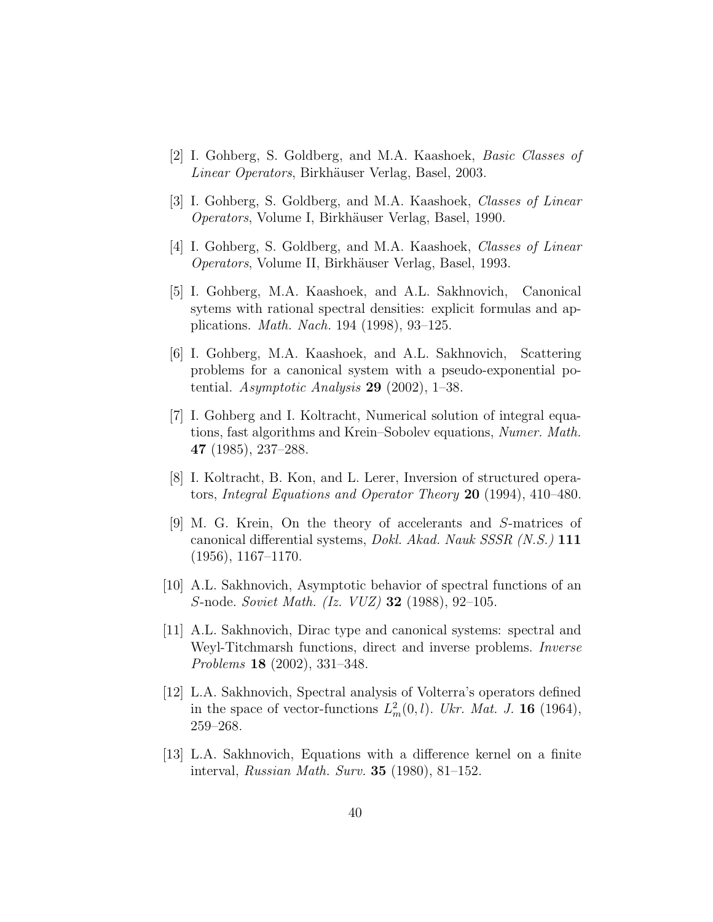- [2] I. Gohberg, S. Goldberg, and M.A. Kaashoek, Basic Classes of Linear Operators, Birkhäuser Verlag, Basel, 2003.
- [3] I. Gohberg, S. Goldberg, and M.A. Kaashoek, Classes of Linear Operators, Volume I, Birkh¨auser Verlag, Basel, 1990.
- [4] I. Gohberg, S. Goldberg, and M.A. Kaashoek, Classes of Linear Operators, Volume II, Birkhäuser Verlag, Basel, 1993.
- [5] I. Gohberg, M.A. Kaashoek, and A.L. Sakhnovich, Canonical sytems with rational spectral densities: explicit formulas and applications. Math. Nach. 194 (1998), 93–125.
- [6] I. Gohberg, M.A. Kaashoek, and A.L. Sakhnovich, Scattering problems for a canonical system with a pseudo-exponential potential. Asymptotic Analysis  $29$  (2002), 1–38.
- [7] I. Gohberg and I. Koltracht, Numerical solution of integral equations, fast algorithms and Krein–Sobolev equations, Numer. Math. 47 (1985), 237–288.
- [8] I. Koltracht, B. Kon, and L. Lerer, Inversion of structured operators, Integral Equations and Operator Theory 20 (1994), 410–480.
- [9] M. G. Krein, On the theory of accelerants and S-matrices of canonical differential systems, Dokl. Akad. Nauk SSSR (N.S.) 111  $(1956), 1167-1170.$
- [10] A.L. Sakhnovich, Asymptotic behavior of spectral functions of an S-node. Soviet Math. (Iz. VUZ) 32 (1988), 92–105.
- [11] A.L. Sakhnovich, Dirac type and canonical systems: spectral and Weyl-Titchmarsh functions, direct and inverse problems. Inverse Problems 18 (2002), 331–348.
- [12] L.A. Sakhnovich, Spectral analysis of Volterra's operators defined in the space of vector-functions  $L_m^2(0, l)$ . Ukr. Mat. J. **16** (1964), 259–268.
- [13] L.A. Sakhnovich, Equations with a difference kernel on a finite interval, Russian Math. Surv. 35 (1980), 81–152.